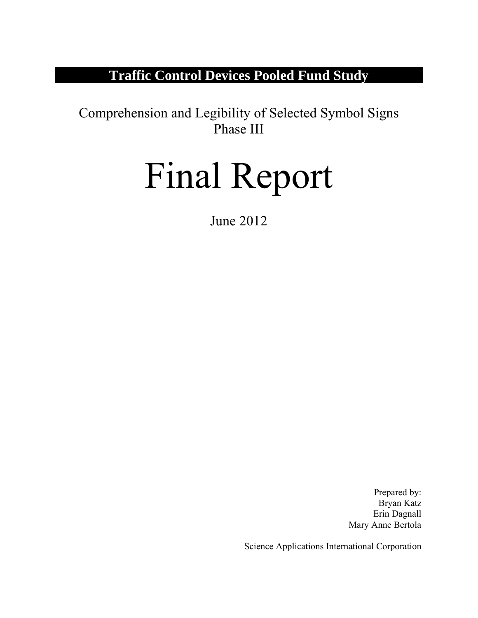## **Traffic Control Devices Pooled Fund Study**

Comprehension and Legibility of Selected Symbol Signs Phase III

# Final Report

June 2012

Prepared by: Bryan Katz Erin Dagnall Mary Anne Bertola

Science Applications International Corporation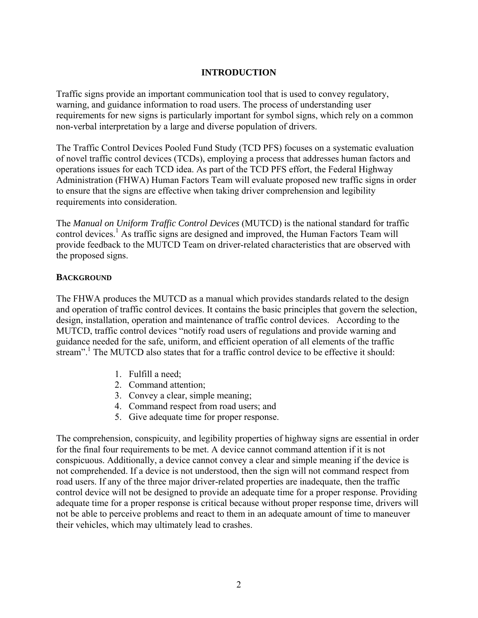## **INTRODUCTION**

Traffic signs provide an important communication tool that is used to convey regulatory, warning, and guidance information to road users. The process of understanding user requirements for new signs is particularly important for symbol signs, which rely on a common non-verbal interpretation by a large and diverse population of drivers.

The Traffic Control Devices Pooled Fund Study (TCD PFS) focuses on a systematic evaluation of novel traffic control devices (TCDs), employing a process that addresses human factors and operations issues for each TCD idea. As part of the TCD PFS effort, the Federal Highway Administration (FHWA) Human Factors Team will evaluate proposed new traffic signs in order to ensure that the signs are effective when taking driver comprehension and legibility requirements into consideration.

The *Manual on Uniform Traffic Control Devices* (MUTCD) is the national standard for traffic control devices.<sup>1</sup> As traffic signs are designed and improved, the Human Factors Team will provide feedback to the MUTCD Team on driver-related characteristics that are observed with the proposed signs.

## **BACKGROUND**

The FHWA produces the MUTCD as a manual which provides standards related to the design and operation of traffic control devices. It contains the basic principles that govern the selection, design, installation, operation and maintenance of traffic control devices. According to the MUTCD, traffic control devices "notify road users of regulations and provide warning and guidance needed for the safe, uniform, and efficient operation of all elements of the traffic stream".<sup>1</sup> The MUTCD also states that for a traffic control device to be effective it should:

- 1. Fulfill a need;
- 2. Command attention;
- 3. Convey a clear, simple meaning;
- 4. Command respect from road users; and
- 5. Give adequate time for proper response.

The comprehension, conspicuity, and legibility properties of highway signs are essential in order for the final four requirements to be met. A device cannot command attention if it is not conspicuous. Additionally, a device cannot convey a clear and simple meaning if the device is not comprehended. If a device is not understood, then the sign will not command respect from road users. If any of the three major driver-related properties are inadequate, then the traffic control device will not be designed to provide an adequate time for a proper response. Providing adequate time for a proper response is critical because without proper response time, drivers will not be able to perceive problems and react to them in an adequate amount of time to maneuver their vehicles, which may ultimately lead to crashes.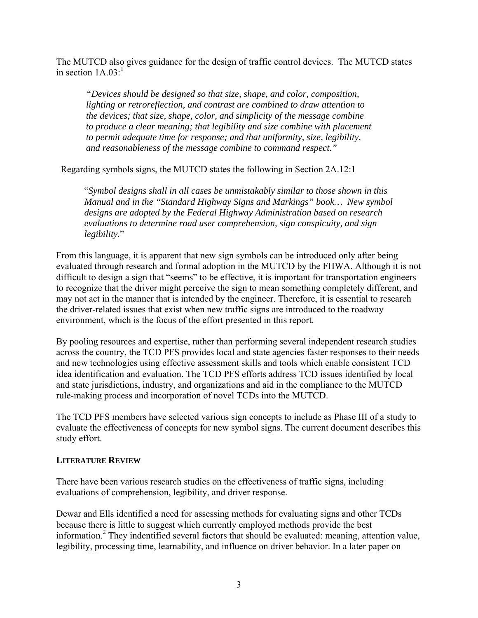The MUTCD also gives guidance for the design of traffic control devices. The MUTCD states in section  $1A.03<sup>-1</sup>$ 

*"Devices should be designed so that size, shape, and color, composition, lighting or retroreflection, and contrast are combined to draw attention to the devices; that size, shape, color, and simplicity of the message combine*  to produce a clear meaning; that legibility and size combine with placement *to permit adequate time for response; and that uniformity, size, legibility, and reasonableness of the message combine to command respect."* 

Regarding symbols signs, the MUTCD states the following in Section 2A.12:1

"*Symbol designs shall in all cases be unmistakably similar to those shown in this Manual and in the "Standard Highway Signs and Markings" book… New symbol designs are adopted by the Federal Highway Administration based on research evaluations to determine road user comprehension, sign conspicuity, and sign legibility.*"

From this language, it is apparent that new sign symbols can be introduced only after being evaluated through research and formal adoption in the MUTCD by the FHWA. Although it is not difficult to design a sign that "seems" to be effective, it is important for transportation engineers to recognize that the driver might perceive the sign to mean something completely different, and may not act in the manner that is intended by the engineer. Therefore, it is essential to research the driver-related issues that exist when new traffic signs are introduced to the roadway environment, which is the focus of the effort presented in this report.

By pooling resources and expertise, rather than performing several independent research studies across the country, the TCD PFS provides local and state agencies faster responses to their needs and new technologies using effective assessment skills and tools which enable consistent TCD idea identification and evaluation. The TCD PFS efforts address TCD issues identified by local and state jurisdictions, industry, and organizations and aid in the compliance to the MUTCD rule-making process and incorporation of novel TCDs into the MUTCD.

The TCD PFS members have selected various sign concepts to include as Phase III of a study to evaluate the effectiveness of concepts for new symbol signs. The current document describes this study effort.

#### **LITERATURE REVIEW**

There have been various research studies on the effectiveness of traffic signs, including evaluations of comprehension, legibility, and driver response.

Dewar and Ells identified a need for assessing methods for evaluating signs and other TCDs because there is little to suggest which currently employed methods provide the best information.2 They indentified several factors that should be evaluated: meaning, attention value, legibility, processing time, learnability, and influence on driver behavior. In a later paper on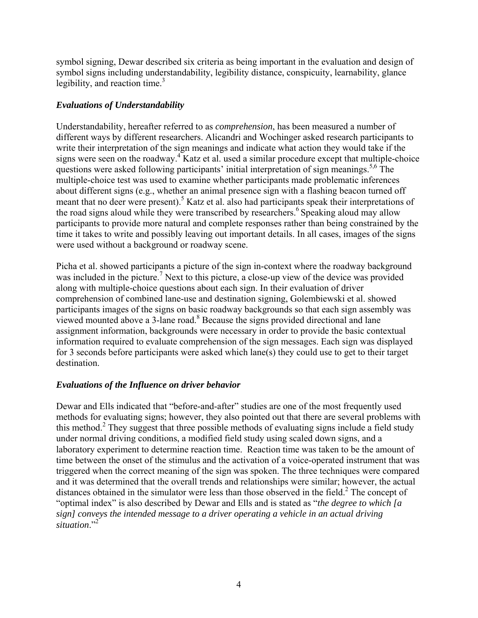symbol signing, Dewar described six criteria as being important in the evaluation and design of symbol signs including understandability, legibility distance, conspicuity, learnability, glance legibility, and reaction time. $3$ 

## *Evaluations of Understandability*

Understandability, hereafter referred to as *comprehension*, has been measured a number of different ways by different researchers. Alicandri and Wochinger asked research participants to write their interpretation of the sign meanings and indicate what action they would take if the signs were seen on the roadway.<sup>4</sup> Katz et al. used a similar procedure except that multiple-choice questions were asked following participants' initial interpretation of sign meanings.<sup>5,6</sup> The multiple-choice test was used to examine whether participants made problematic inferences about different signs (e.g., whether an animal presence sign with a flashing beacon turned off meant that no deer were present).<sup>5</sup> Katz et al. also had participants speak their interpretations of the road signs aloud while they were transcribed by researchers.<sup>6</sup> Speaking aloud may allow participants to provide more natural and complete responses rather than being constrained by the time it takes to write and possibly leaving out important details. In all cases, images of the signs were used without a background or roadway scene.

Picha et al. showed participants a picture of the sign in-context where the roadway background was included in the picture.<sup>7</sup> Next to this picture, a close-up view of the device was provided along with multiple-choice questions about each sign. In their evaluation of driver comprehension of combined lane-use and destination signing, Golembiewski et al. showed participants images of the signs on basic roadway backgrounds so that each sign assembly was viewed mounted above a  $3$ -lane road.<sup>8</sup> Because the signs provided directional and lane assignment information, backgrounds were necessary in order to provide the basic contextual information required to evaluate comprehension of the sign messages. Each sign was displayed for 3 seconds before participants were asked which lane(s) they could use to get to their target destination.

## *Evaluations of the Influence on driver behavior*

Dewar and Ells indicated that "before-and-after" studies are one of the most frequently used methods for evaluating signs; however, they also pointed out that there are several problems with this method.<sup>2</sup> They suggest that three possible methods of evaluating signs include a field study under normal driving conditions, a modified field study using scaled down signs, and a laboratory experiment to determine reaction time. Reaction time was taken to be the amount of time between the onset of the stimulus and the activation of a voice-operated instrument that was triggered when the correct meaning of the sign was spoken. The three techniques were compared and it was determined that the overall trends and relationships were similar; however, the actual distances obtained in the simulator were less than those observed in the field.<sup>2</sup> The concept of "optimal index" is also described by Dewar and Ells and is stated as "*the degree to which [a sign] conveys the intended message to a driver operating a vehicle in an actual driving*  situation."<sup>2</sup>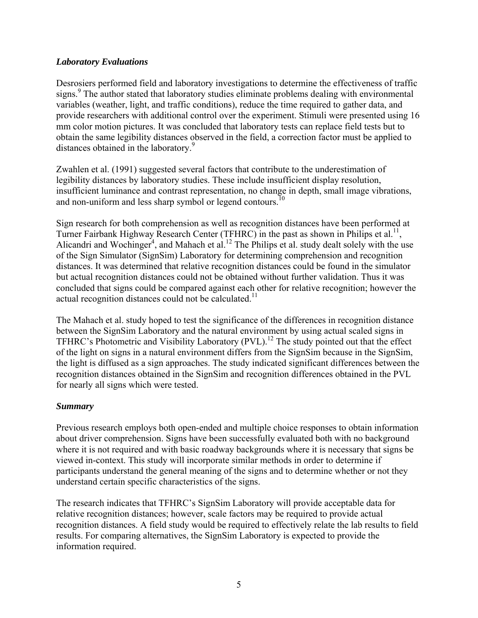#### *Laboratory Evaluations*

Desrosiers performed field and laboratory investigations to determine the effectiveness of traffic signs.<sup>9</sup> The author stated that laboratory studies eliminate problems dealing with environmental variables (weather, light, and traffic conditions), reduce the time required to gather data, and provide researchers with additional control over the experiment. Stimuli were presented using 16 mm color motion pictures. It was concluded that laboratory tests can replace field tests but to obtain the same legibility distances observed in the field, a correction factor must be applied to distances obtained in the laboratory.<sup>9</sup>

Zwahlen et al. (1991) suggested several factors that contribute to the underestimation of legibility distances by laboratory studies. These include insufficient display resolution, insufficient luminance and contrast representation, no change in depth, small image vibrations, and non-uniform and less sharp symbol or legend contours.<sup>10</sup>

Sign research for both comprehension as well as recognition distances have been performed at Turner Fairbank Highway Research Center (TFHRC) in the past as shown in Philips et al.<sup>11</sup>, Alicandri and Wochinger<sup>4</sup>, and Mahach et al.<sup>12</sup> The Philips et al. study dealt solely with the use of the Sign Simulator (SignSim) Laboratory for determining comprehension and recognition distances. It was determined that relative recognition distances could be found in the simulator but actual recognition distances could not be obtained without further validation. Thus it was concluded that signs could be compared against each other for relative recognition; however the actual recognition distances could not be calculated.<sup>11</sup>

The Mahach et al. study hoped to test the significance of the differences in recognition distance between the SignSim Laboratory and the natural environment by using actual scaled signs in TFHRC's Photometric and Visibility Laboratory (PVL).<sup>12</sup> The study pointed out that the effect of the light on signs in a natural environment differs from the SignSim because in the SignSim, the light is diffused as a sign approaches. The study indicated significant differences between the recognition distances obtained in the SignSim and recognition differences obtained in the PVL for nearly all signs which were tested.

## *Summary*

Previous research employs both open-ended and multiple choice responses to obtain information about driver comprehension. Signs have been successfully evaluated both with no background where it is not required and with basic roadway backgrounds where it is necessary that signs be viewed in-context. This study will incorporate similar methods in order to determine if participants understand the general meaning of the signs and to determine whether or not they understand certain specific characteristics of the signs.

The research indicates that TFHRC's SignSim Laboratory will provide acceptable data for relative recognition distances; however, scale factors may be required to provide actual recognition distances. A field study would be required to effectively relate the lab results to field results. For comparing alternatives, the SignSim Laboratory is expected to provide the information required.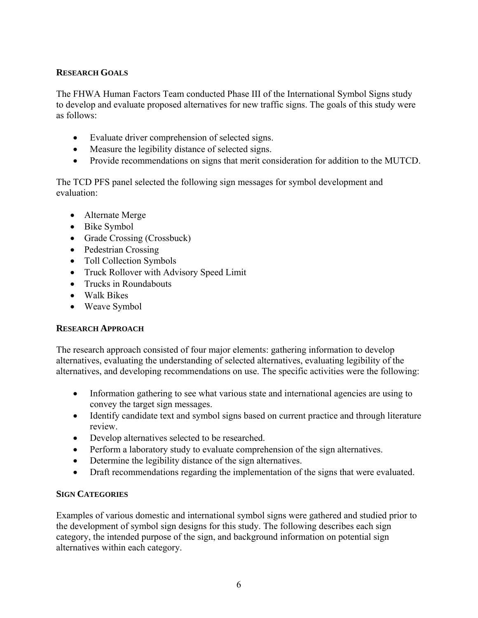## **RESEARCH GOALS**

The FHWA Human Factors Team conducted Phase III of the International Symbol Signs study to develop and evaluate proposed alternatives for new traffic signs. The goals of this study were as follows:

- Evaluate driver comprehension of selected signs.
- Measure the legibility distance of selected signs.
- Provide recommendations on signs that merit consideration for addition to the MUTCD.

The TCD PFS panel selected the following sign messages for symbol development and evaluation:

- Alternate Merge
- Bike Symbol
- Grade Crossing (Crossbuck)
- Pedestrian Crossing
- Toll Collection Symbols
- Truck Rollover with Advisory Speed Limit
- Trucks in Roundabouts
- Walk Bikes
- Weave Symbol

## **RESEARCH APPROACH**

The research approach consisted of four major elements: gathering information to develop alternatives, evaluating the understanding of selected alternatives, evaluating legibility of the alternatives, and developing recommendations on use. The specific activities were the following:

- Information gathering to see what various state and international agencies are using to convey the target sign messages.
- Identify candidate text and symbol signs based on current practice and through literature review.
- Develop alternatives selected to be researched.
- Perform a laboratory study to evaluate comprehension of the sign alternatives.
- Determine the legibility distance of the sign alternatives.
- Draft recommendations regarding the implementation of the signs that were evaluated.

## **SIGN CATEGORIES**

Examples of various domestic and international symbol signs were gathered and studied prior to the development of symbol sign designs for this study. The following describes each sign category, the intended purpose of the sign, and background information on potential sign alternatives within each category.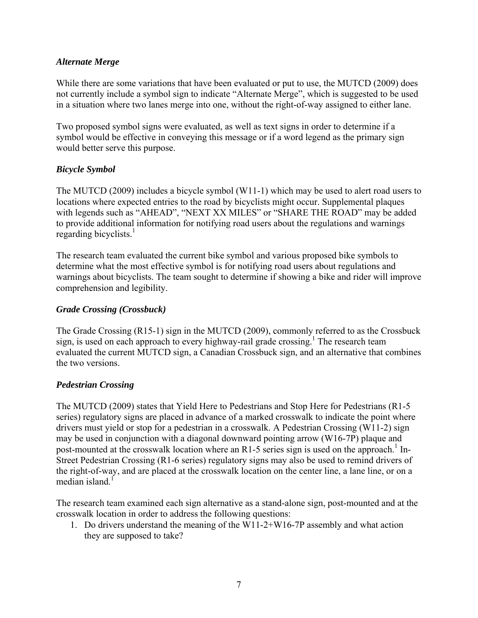#### *Alternate Merge*

While there are some variations that have been evaluated or put to use, the MUTCD (2009) does not currently include a symbol sign to indicate "Alternate Merge", which is suggested to be used in a situation where two lanes merge into one, without the right-of-way assigned to either lane.

Two proposed symbol signs were evaluated, as well as text signs in order to determine if a symbol would be effective in conveying this message or if a word legend as the primary sign would better serve this purpose.

## *Bicycle Symbol*

The MUTCD (2009) includes a bicycle symbol (W11-1) which may be used to alert road users to locations where expected entries to the road by bicyclists might occur. Supplemental plaques with legends such as "AHEAD", "NEXT XX MILES" or "SHARE THE ROAD" may be added to provide additional information for notifying road users about the regulations and warnings regarding bicyclists.<sup>1</sup>

The research team evaluated the current bike symbol and various proposed bike symbols to determine what the most effective symbol is for notifying road users about regulations and warnings about bicyclists. The team sought to determine if showing a bike and rider will improve comprehension and legibility.

#### *Grade Crossing (Crossbuck)*

The Grade Crossing (R15-1) sign in the MUTCD (2009), commonly referred to as the Crossbuck sign, is used on each approach to every highway-rail grade crossing.<sup>1</sup> The research team evaluated the current MUTCD sign, a Canadian Crossbuck sign, and an alternative that combines the two versions.

#### *Pedestrian Crossing*

The MUTCD (2009) states that Yield Here to Pedestrians and Stop Here for Pedestrians (R1-5 series) regulatory signs are placed in advance of a marked crosswalk to indicate the point where drivers must yield or stop for a pedestrian in a crosswalk. A Pedestrian Crossing (W11-2) sign may be used in conjunction with a diagonal downward pointing arrow (W16-7P) plaque and post-mounted at the crosswalk location where an R1-5 series sign is used on the approach.<sup>1</sup> In-Street Pedestrian Crossing (R1-6 series) regulatory signs may also be used to remind drivers of the right-of-way, and are placed at the crosswalk location on the center line, a lane line, or on a median island.<sup>1</sup>

The research team examined each sign alternative as a stand-alone sign, post-mounted and at the crosswalk location in order to address the following questions:

1. Do drivers understand the meaning of the W11-2+W16-7P assembly and what action they are supposed to take?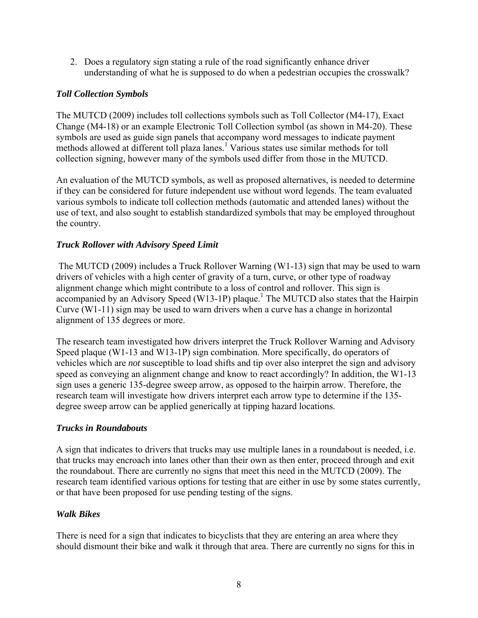2. Does a regulatory sign stating a rule of the road significantly enhance driver understanding of what he is supposed to do when a pedestrian occupies the crosswalk?

## *Toll Collection Symbols*

The MUTCD (2009) includes toll collections symbols such as Toll Collector (M4-17), Exact Change (M4-18) or an example Electronic Toll Collection symbol (as shown in M4-20). These symbols are used as guide sign panels that accompany word messages to indicate payment methods allowed at different toll plaza lanes.<sup>1</sup> Various states use similar methods for toll collection signing, however many of the symbols used differ from those in the MUTCD.

An evaluation of the MUTCD symbols, as well as proposed alternatives, is needed to determine if they can be considered for future independent use without word legends. The team evaluated various symbols to indicate toll collection methods (automatic and attended lanes) without the use of text, and also sought to establish standardized symbols that may be employed throughout the country.

## *Truck Rollover with Advisory Speed Limit*

 The MUTCD (2009) includes a Truck Rollover Warning (W1-13) sign that may be used to warn drivers of vehicles with a high center of gravity of a turn, curve, or other type of roadway alignment change which might contribute to a loss of control and rollover. This sign is accompanied by an Advisory Speed (W13-1P) plaque.<sup>1</sup> The MUTCD also states that the Hairpin Curve (W1-11) sign may be used to warn drivers when a curve has a change in horizontal alignment of 135 degrees or more.

The research team investigated how drivers interpret the Truck Rollover Warning and Advisory Speed plaque (W1-13 and W13-1P) sign combination. More specifically, do operators of vehicles which are *not* susceptible to load shifts and tip over also interpret the sign and advisory speed as conveying an alignment change and know to react accordingly? In addition, the W1-13 sign uses a generic 135-degree sweep arrow, as opposed to the hairpin arrow. Therefore, the research team will investigate how drivers interpret each arrow type to determine if the 135 degree sweep arrow can be applied generically at tipping hazard locations.

## *Trucks in Roundabouts*

A sign that indicates to drivers that trucks may use multiple lanes in a roundabout is needed, i.e. that trucks may encroach into lanes other than their own as then enter, proceed through and exit the roundabout. There are currently no signs that meet this need in the MUTCD (2009). The research team identified various options for testing that are either in use by some states currently, or that have been proposed for use pending testing of the signs.

## *Walk Bikes*

There is need for a sign that indicates to bicyclists that they are entering an area where they should dismount their bike and walk it through that area. There are currently no signs for this in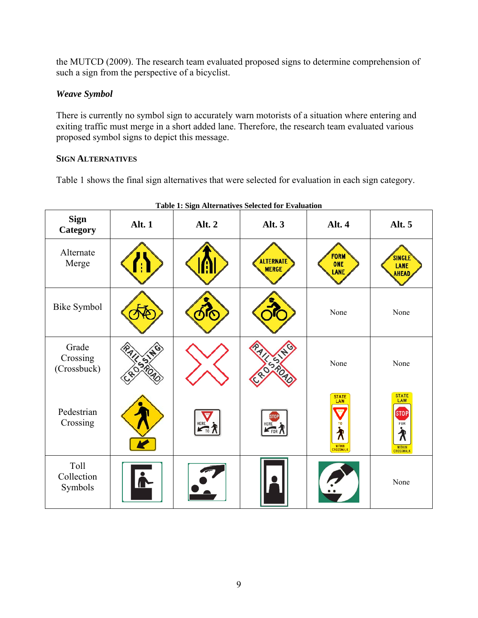the MUTCD (2009). The research team evaluated proposed signs to determine comprehension of such a sign from the perspective of a bicyclist.

## *Weave Symbol*

There is currently no symbol sign to accurately warn motorists of a situation where entering and exiting traffic must merge in a short added lane. Therefore, the research team evaluated various proposed symbol signs to depict this message.

## **SIGN ALTERNATIVES**

Table 1 shows the final sign alternatives that were selected for evaluation in each sign category.

| Table 1: Sign Alternatives Selected for Evaluation |        |                                    |                                  |                                                                     |                                                           |
|----------------------------------------------------|--------|------------------------------------|----------------------------------|---------------------------------------------------------------------|-----------------------------------------------------------|
| <b>Sign</b><br>Category                            | Alt. 1 | Alt. 2                             | Alt. 3                           | Alt. 4                                                              | Alt. 5                                                    |
| Alternate<br>Merge                                 |        |                                    | <b>ALTERNATE</b><br><b>MERGE</b> | <b>FORM</b><br>ONE<br><b>LANE</b>                                   | <b>SINGLE</b><br><b>LANE</b><br><b>AHEAD</b>              |
| <b>Bike Symbol</b>                                 |        | ര                                  |                                  | None                                                                | None                                                      |
| Grade<br>Crossing<br>(Crossbuck)                   |        |                                    | ISSS                             | None                                                                | None                                                      |
| Pedestrian<br>Crossing                             |        | HERE<br>$\overline{K_{\text{TO}}}$ | HERE<br>FOR                      | STATE<br>LAW<br>TO<br>$\boldsymbol{\lambda}$<br>WITHIN<br>CROSSWALK | <b>STATE</b><br>LAW<br><b>STOP</b><br>FOR<br>∕ौ<br>WITHIN |
| Toll<br>Collection<br>Symbols                      |        |                                    |                                  |                                                                     | None                                                      |

9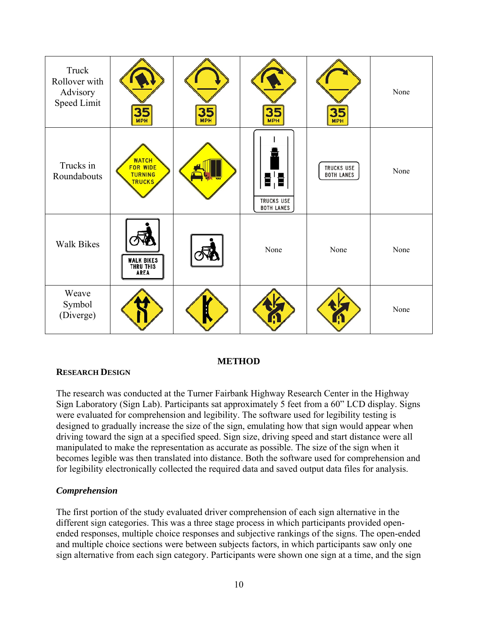| Truck<br>Rollover with<br>Advisory<br>Speed Limit | 35<br><b>MPH</b>                                                   | 35<br><b>MPH</b> | 35                                           | 35                                     | None |
|---------------------------------------------------|--------------------------------------------------------------------|------------------|----------------------------------------------|----------------------------------------|------|
| Trucks in<br>Roundabouts                          | <b>WATCH</b><br><b>FOR WIDE</b><br><b>TURNING</b><br><b>TRUCKS</b> |                  | 함을<br><b>TRUCKS USE</b><br><b>BOTH LANES</b> | <b>TRUCKS USE</b><br><b>BOTH LANES</b> | None |
| <b>Walk Bikes</b>                                 | <b>WALK BIKES<br/>THRU THIS</b><br>AREA                            |                  | None                                         | None                                   | None |
| Weave<br>Symbol<br>(Diverge)                      |                                                                    |                  |                                              |                                        | None |

## **METHOD**

## **RESEARCH DESIGN**

The research was conducted at the Turner Fairbank Highway Research Center in the Highway Sign Laboratory (Sign Lab). Participants sat approximately 5 feet from a 60" LCD display. Signs were evaluated for comprehension and legibility. The software used for legibility testing is designed to gradually increase the size of the sign, emulating how that sign would appear when driving toward the sign at a specified speed. Sign size, driving speed and start distance were all manipulated to make the representation as accurate as possible. The size of the sign when it becomes legible was then translated into distance. Both the software used for comprehension and for legibility electronically collected the required data and saved output data files for analysis.

## *Comprehension*

The first portion of the study evaluated driver comprehension of each sign alternative in the different sign categories. This was a three stage process in which participants provided openended responses, multiple choice responses and subjective rankings of the signs. The open-ended and multiple choice sections were between subjects factors, in which participants saw only one sign alternative from each sign category. Participants were shown one sign at a time, and the sign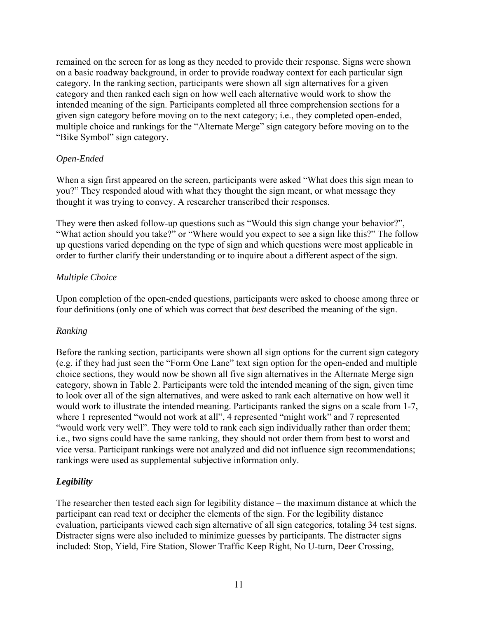remained on the screen for as long as they needed to provide their response. Signs were shown on a basic roadway background, in order to provide roadway context for each particular sign category. In the ranking section, participants were shown all sign alternatives for a given category and then ranked each sign on how well each alternative would work to show the intended meaning of the sign. Participants completed all three comprehension sections for a given sign category before moving on to the next category; i.e., they completed open-ended, multiple choice and rankings for the "Alternate Merge" sign category before moving on to the "Bike Symbol" sign category.

## *Open-Ended*

When a sign first appeared on the screen, participants were asked "What does this sign mean to you?" They responded aloud with what they thought the sign meant, or what message they thought it was trying to convey. A researcher transcribed their responses.

They were then asked follow-up questions such as "Would this sign change your behavior?", "What action should you take?" or "Where would you expect to see a sign like this?" The follow up questions varied depending on the type of sign and which questions were most applicable in order to further clarify their understanding or to inquire about a different aspect of the sign.

#### *Multiple Choice*

Upon completion of the open-ended questions, participants were asked to choose among three or four definitions (only one of which was correct that *best* described the meaning of the sign.

## *Ranking*

Before the ranking section, participants were shown all sign options for the current sign category (e.g. if they had just seen the "Form One Lane" text sign option for the open-ended and multiple choice sections, they would now be shown all five sign alternatives in the Alternate Merge sign category, shown in Table 2. Participants were told the intended meaning of the sign, given time to look over all of the sign alternatives, and were asked to rank each alternative on how well it would work to illustrate the intended meaning. Participants ranked the signs on a scale from 1-7, where 1 represented "would not work at all", 4 represented "might work" and 7 represented "would work very well". They were told to rank each sign individually rather than order them; i.e., two signs could have the same ranking, they should not order them from best to worst and vice versa. Participant rankings were not analyzed and did not influence sign recommendations; rankings were used as supplemental subjective information only.

## *Legibility*

The researcher then tested each sign for legibility distance – the maximum distance at which the participant can read text or decipher the elements of the sign. For the legibility distance evaluation, participants viewed each sign alternative of all sign categories, totaling 34 test signs. Distracter signs were also included to minimize guesses by participants. The distracter signs included: Stop, Yield, Fire Station, Slower Traffic Keep Right, No U-turn, Deer Crossing,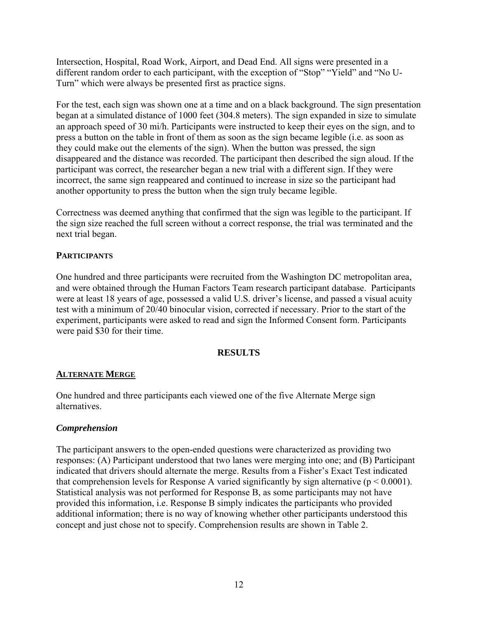Intersection, Hospital, Road Work, Airport, and Dead End. All signs were presented in a different random order to each participant, with the exception of "Stop" "Yield" and "No U-Turn" which were always be presented first as practice signs.

For the test, each sign was shown one at a time and on a black background. The sign presentation began at a simulated distance of 1000 feet (304.8 meters). The sign expanded in size to simulate an approach speed of 30 mi/h. Participants were instructed to keep their eyes on the sign, and to press a button on the table in front of them as soon as the sign became legible (i.e. as soon as they could make out the elements of the sign). When the button was pressed, the sign disappeared and the distance was recorded. The participant then described the sign aloud. If the participant was correct, the researcher began a new trial with a different sign. If they were incorrect, the same sign reappeared and continued to increase in size so the participant had another opportunity to press the button when the sign truly became legible.

Correctness was deemed anything that confirmed that the sign was legible to the participant. If the sign size reached the full screen without a correct response, the trial was terminated and the next trial began.

## **PARTICIPANTS**

One hundred and three participants were recruited from the Washington DC metropolitan area, and were obtained through the Human Factors Team research participant database. Participants were at least 18 years of age, possessed a valid U.S. driver's license, and passed a visual acuity test with a minimum of 20/40 binocular vision, corrected if necessary. Prior to the start of the experiment, participants were asked to read and sign the Informed Consent form. Participants were paid \$30 for their time.

## **RESULTS**

## **ALTERNATE MERGE**

One hundred and three participants each viewed one of the five Alternate Merge sign alternatives.

## *Comprehension*

The participant answers to the open-ended questions were characterized as providing two responses: (A) Participant understood that two lanes were merging into one; and (B) Participant indicated that drivers should alternate the merge. Results from a Fisher's Exact Test indicated that comprehension levels for Response A varied significantly by sign alternative ( $p \le 0.0001$ ). Statistical analysis was not performed for Response B, as some participants may not have provided this information, i.e. Response B simply indicates the participants who provided additional information; there is no way of knowing whether other participants understood this concept and just chose not to specify. Comprehension results are shown in Table 2.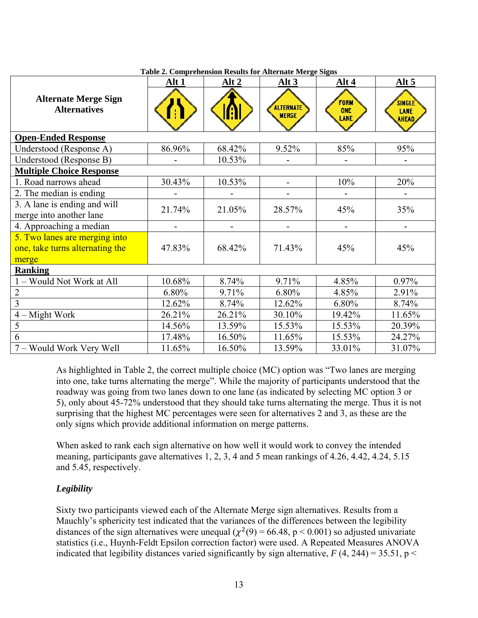|                                                                           | ruore al comprenension results for riferime firer ge signa<br>Alt 1 | Alt 2  | Alt $3$                   | Alt 4                             | Alt $5$                        |
|---------------------------------------------------------------------------|---------------------------------------------------------------------|--------|---------------------------|-----------------------------------|--------------------------------|
| <b>Alternate Merge Sign</b><br><b>Alternatives</b>                        |                                                                     |        | ALTERNATE<br><b>MERGE</b> | <b>FORM</b><br><b>ONE</b><br>LANE | SINGLE<br>LANE<br><b>AHEAD</b> |
| <b>Open-Ended Response</b>                                                |                                                                     |        |                           |                                   |                                |
| Understood (Response A)                                                   | 86.96%                                                              | 68.42% | 9.52%                     | 85%                               | 95%                            |
| Understood (Response B)                                                   |                                                                     | 10.53% |                           |                                   |                                |
| <b>Multiple Choice Response</b>                                           |                                                                     |        |                           |                                   |                                |
| 1. Road narrows ahead                                                     | 30.43%                                                              | 10.53% |                           | 10%                               | 20%                            |
| 2. The median is ending                                                   |                                                                     |        |                           |                                   |                                |
| 3. A lane is ending and will<br>merge into another lane                   | 21.74%                                                              | 21.05% | 28.57%                    | 45%                               | 35%                            |
| 4. Approaching a median                                                   |                                                                     |        |                           | $\blacksquare$                    | $\overline{\phantom{0}}$       |
| 5. Two lanes are merging into<br>one, take turns alternating the<br>merge | 47.83%                                                              | 68.42% | 71.43%                    | 45%                               | 45%                            |
| <b>Ranking</b>                                                            |                                                                     |        |                           |                                   |                                |
| 1 - Would Not Work at All                                                 | 10.68%                                                              | 8.74%  | 9.71%                     | 4.85%                             | 0.97%                          |
| $\overline{2}$                                                            | 6.80%                                                               | 9.71%  | 6.80%                     | 4.85%                             | 2.91%                          |
| 3                                                                         | 12.62%                                                              | 8.74%  | 12.62%                    | 6.80%                             | 8.74%                          |
| $4 -$ Might Work                                                          | 26.21%                                                              | 26.21% | 30.10%                    | 19.42%                            | 11.65%                         |
| 5                                                                         | 14.56%                                                              | 13.59% | 15.53%                    | 15.53%                            | 20.39%                         |
| 6                                                                         | 17.48%                                                              | 16.50% | 11.65%                    | 15.53%                            | 24.27%                         |
| 7 – Would Work Very Well                                                  | 11.65%                                                              | 16.50% | 13.59%                    | 33.01%                            | 31.07%                         |

**Table 2. Comprehension Results for Alternate Merge Signs** 

As highlighted in Table 2, the correct multiple choice (MC) option was "Two lanes are merging into one, take turns alternating the merge". While the majority of participants understood that the roadway was going from two lanes down to one lane (as indicated by selecting MC option 3 or 5), only about 45-72% understood that they should take turns alternating the merge. Thus it is not surprising that the highest MC percentages were seen for alternatives 2 and 3, as these are the only signs which provide additional information on merge patterns.

When asked to rank each sign alternative on how well it would work to convey the intended meaning, participants gave alternatives 1, 2, 3, 4 and 5 mean rankings of 4.26, 4.42, 4.24, 5.15 and 5.45, respectively.

## *Legibility*

Sixty two participants viewed each of the Alternate Merge sign alternatives. Results from a Mauchly's sphericity test indicated that the variances of the differences between the legibility distances of the sign alternatives were unequal ( $\chi^2(9) = 66.48$ , p < 0.001) so adjusted univariate statistics (i.e., Huynh-Feldt Epsilon correction factor) were used. A Repeated Measures ANOVA indicated that legibility distances varied significantly by sign alternative,  $F(4, 244) = 35.51$ ,  $p <$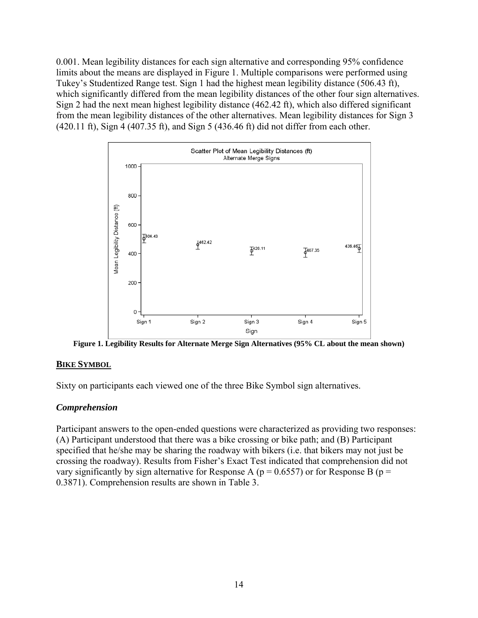0.001. Mean legibility distances for each sign alternative and corresponding 95% confidence limits about the means are displayed in Figure 1. Multiple comparisons were performed using Tukey's Studentized Range test. Sign 1 had the highest mean legibility distance (506.43 ft), which significantly differed from the mean legibility distances of the other four sign alternatives. Sign 2 had the next mean highest legibility distance (462.42 ft), which also differed significant from the mean legibility distances of the other alternatives. Mean legibility distances for Sign 3 (420.11 ft), Sign 4 (407.35 ft), and Sign 5 (436.46 ft) did not differ from each other.



**Figure 1. Legibility Results for Alternate Merge Sign Alternatives (95% CL about the mean shown)** 

#### **BIKE SYMBOL**

Sixty on participants each viewed one of the three Bike Symbol sign alternatives.

## *Comprehension*

Participant answers to the open-ended questions were characterized as providing two responses: (A) Participant understood that there was a bike crossing or bike path; and (B) Participant specified that he/she may be sharing the roadway with bikers (i.e. that bikers may not just be crossing the roadway). Results from Fisher's Exact Test indicated that comprehension did not vary significantly by sign alternative for Response A ( $p = 0.6557$ ) or for Response B ( $p =$ 0.3871). Comprehension results are shown in Table 3.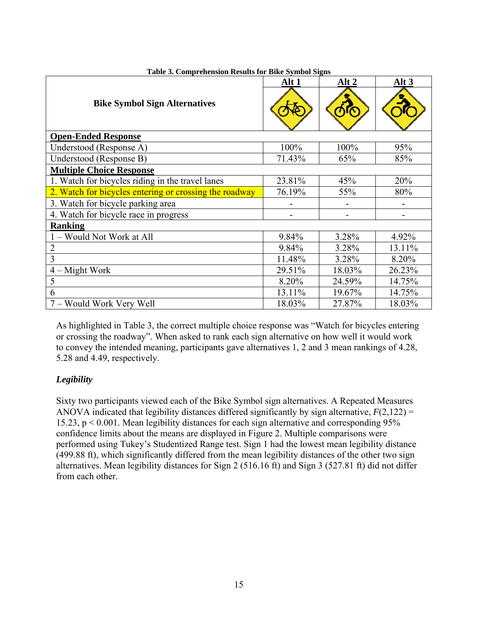| able of Complemention results for Directly moot bights | Alt 1  | Alt 2  | Alt <sub>3</sub> |
|--------------------------------------------------------|--------|--------|------------------|
| <b>Bike Symbol Sign Alternatives</b>                   |        |        |                  |
| <b>Open-Ended Response</b>                             |        |        |                  |
| Understood (Response A)                                | 100%   | 100%   | 95%              |
| Understood (Response B)                                | 71.43% | 65%    | 85%              |
| <b>Multiple Choice Response</b>                        |        |        |                  |
| 1. Watch for bicycles riding in the travel lanes       | 23.81% | 45%    | 20%              |
| 2. Watch for bicycles entering or crossing the roadway | 76.19% | 55%    | 80%              |
| 3. Watch for bicycle parking area                      |        |        |                  |
| 4. Watch for bicycle race in progress                  |        |        |                  |
| <b>Ranking</b>                                         |        |        |                  |
| 1 - Would Not Work at All                              | 9.84%  | 3.28%  | 4.92%            |
| $\overline{2}$                                         | 9.84%  | 3.28%  | 13.11%           |
| 3                                                      | 11.48% | 3.28%  | 8.20%            |
| - Might Work<br>$\overline{4}$                         | 29.51% | 18.03% | 26.23%           |
| 5                                                      | 8.20%  | 24.59% | 14.75%           |
| 6                                                      | 13.11% | 19.67% | 14.75%           |
| 7 – Would Work Very Well                               | 18.03% | 27.87% | 18.03%           |

**Table 3. Comprehension Results for Bike Symbol Signs** 

As highlighted in Table 3, the correct multiple choice response was "Watch for bicycles entering or crossing the roadway". When asked to rank each sign alternative on how well it would work to convey the intended meaning, participants gave alternatives 1, 2 and 3 mean rankings of 4.28, 5.28 and 4.49, respectively.

## *Legibility*

Sixty two participants viewed each of the Bike Symbol sign alternatives. A Repeated Measures ANOVA indicated that legibility distances differed significantly by sign alternative,  $F(2,122) =$ 15.23, p < 0.001. Mean legibility distances for each sign alternative and corresponding 95% confidence limits about the means are displayed in Figure 2. Multiple comparisons were performed using Tukey's Studentized Range test. Sign 1 had the lowest mean legibility distance (499.88 ft), which significantly differed from the mean legibility distances of the other two sign alternatives. Mean legibility distances for Sign 2 (516.16 ft) and Sign 3 (527.81 ft) did not differ from each other.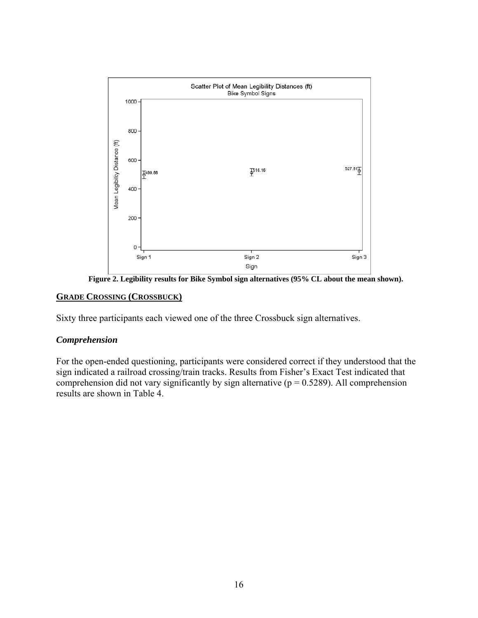

**Figure 2. Legibility results for Bike Symbol sign alternatives (95% CL about the mean shown).** 

#### **GRADE CROSSING (CROSSBUCK)**

Sixty three participants each viewed one of the three Crossbuck sign alternatives.

#### *Comprehension*

For the open-ended questioning, participants were considered correct if they understood that the sign indicated a railroad crossing/train tracks. Results from Fisher's Exact Test indicated that comprehension did not vary significantly by sign alternative ( $p = 0.5289$ ). All comprehension results are shown in Table 4.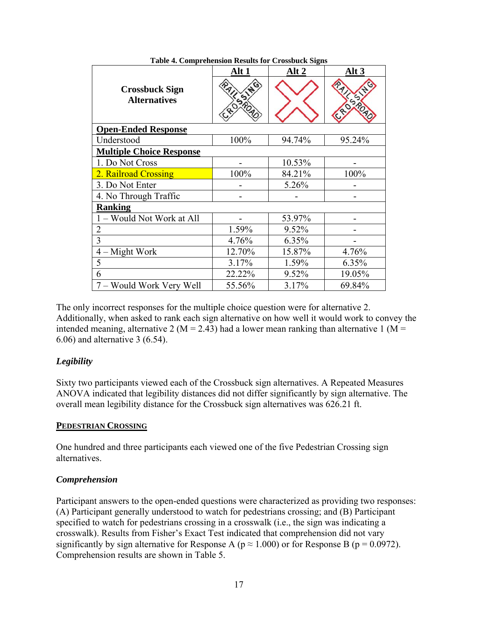|                                              | Alt 1      | Alt 2  | Alt 3  |  |
|----------------------------------------------|------------|--------|--------|--|
| <b>Crossbuck Sign</b><br><b>Alternatives</b> | <b>SRO</b> |        |        |  |
| <b>Open-Ended Response</b>                   |            |        |        |  |
| Understood                                   | 100%       | 94.74% | 95.24% |  |
| <b>Multiple Choice Response</b>              |            |        |        |  |
| 1. Do Not Cross                              |            | 10.53% |        |  |
| 2. Railroad Crossing                         | 100%       | 84.21% | 100%   |  |
| 3. Do Not Enter                              |            | 5.26%  |        |  |
| 4. No Through Traffic                        |            |        |        |  |
| <b>Ranking</b>                               |            |        |        |  |
| 1 – Would Not Work at All                    |            | 53.97% |        |  |
| $\overline{2}$                               | 1.59%      | 9.52%  |        |  |
| 3                                            | 4.76%      | 6.35%  |        |  |
| $4 - Might Work$                             | 12.70%     | 15.87% | 4.76%  |  |
| 5                                            | 3.17%      | 1.59%  | 6.35%  |  |
| 6                                            | 22.22%     | 9.52%  | 19.05% |  |
| 7 – Would Work Very Well                     | 55.56%     | 3.17%  | 69.84% |  |

**Table 4. Comprehension Results for Crossbuck Signs** 

The only incorrect responses for the multiple choice question were for alternative 2. Additionally, when asked to rank each sign alternative on how well it would work to convey the intended meaning, alternative 2 ( $M = 2.43$ ) had a lower mean ranking than alternative 1 ( $M =$ 6.06) and alternative 3 (6.54).

## *Legibility*

Sixty two participants viewed each of the Crossbuck sign alternatives. A Repeated Measures ANOVA indicated that legibility distances did not differ significantly by sign alternative. The overall mean legibility distance for the Crossbuck sign alternatives was 626.21 ft.

#### **PEDESTRIAN CROSSING**

One hundred and three participants each viewed one of the five Pedestrian Crossing sign alternatives.

#### *Comprehension*

Participant answers to the open-ended questions were characterized as providing two responses: (A) Participant generally understood to watch for pedestrians crossing; and (B) Participant specified to watch for pedestrians crossing in a crosswalk (i.e., the sign was indicating a crosswalk). Results from Fisher's Exact Test indicated that comprehension did not vary significantly by sign alternative for Response A ( $p \approx 1.000$ ) or for Response B ( $p = 0.0972$ ). Comprehension results are shown in Table 5.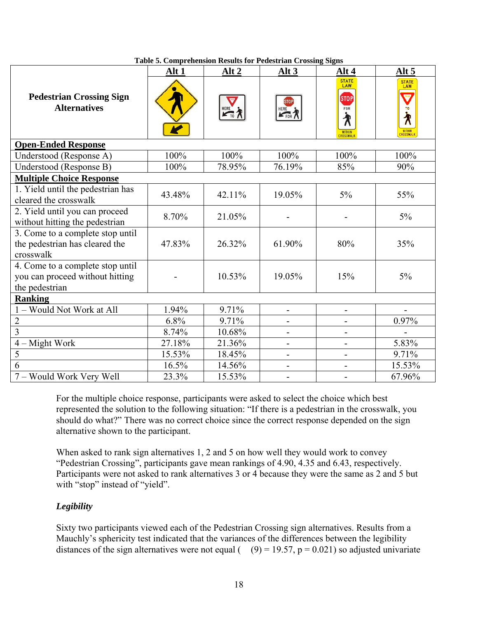|                                                                                       | Alt 1  | Alt 2  | Alt 3                    | Alt 4                                                                              | Alt 5                                                                   |
|---------------------------------------------------------------------------------------|--------|--------|--------------------------|------------------------------------------------------------------------------------|-------------------------------------------------------------------------|
| <b>Pedestrian Crossing Sign</b><br><b>Alternatives</b>                                |        | HERE 7 | <b>STOP</b><br>HERE FOR  | <b>STATE</b><br>LAW<br><b>STOP</b><br>FOR<br>∕₹<br><b>WITHIN</b><br><b>ROSSWAL</b> | <b>STATE</b><br>LAW<br>w<br>T <sub>0</sub><br>∕ि<br>WITHIN<br>CROSSWALK |
| <b>Open-Ended Response</b>                                                            |        |        |                          |                                                                                    |                                                                         |
| Understood (Response A)                                                               | 100%   | 100%   | 100%                     | 100%                                                                               | 100%                                                                    |
| Understood (Response B)                                                               | 100%   | 78.95% | 76.19%                   | 85%                                                                                | 90%                                                                     |
| <b>Multiple Choice Response</b>                                                       |        |        |                          |                                                                                    |                                                                         |
| 1. Yield until the pedestrian has<br>cleared the crosswalk                            | 43.48% | 42.11% | 19.05%                   | $5\%$                                                                              | 55%                                                                     |
| 2. Yield until you can proceed<br>without hitting the pedestrian                      | 8.70%  | 21.05% |                          |                                                                                    | $5\%$                                                                   |
| 3. Come to a complete stop until<br>the pedestrian has cleared the<br>crosswalk       | 47.83% | 26.32% | 61.90%                   | 80%                                                                                | 35%                                                                     |
| 4. Come to a complete stop until<br>you can proceed without hitting<br>the pedestrian |        | 10.53% | 19.05%                   | 15%                                                                                | $5\%$                                                                   |
| <b>Ranking</b>                                                                        |        |        |                          |                                                                                    |                                                                         |
| 1 - Would Not Work at All                                                             | 1.94%  | 9.71%  | $\overline{\phantom{0}}$ | $\overline{\phantom{0}}$                                                           |                                                                         |
| $\overline{2}$                                                                        | 6.8%   | 9.71%  | $\overline{\phantom{0}}$ |                                                                                    | 0.97%                                                                   |
| $\overline{3}$                                                                        | 8.74%  | 10.68% | $\overline{\phantom{0}}$ |                                                                                    |                                                                         |
| $4 - Might Work$                                                                      | 27.18% | 21.36% | $\overline{\phantom{0}}$ | $\blacksquare$                                                                     | 5.83%                                                                   |
| 5                                                                                     | 15.53% | 18.45% | $\overline{\phantom{0}}$ | $\overline{\phantom{0}}$                                                           | 9.71%                                                                   |
| 6                                                                                     | 16.5%  | 14.56% |                          |                                                                                    | 15.53%                                                                  |
| 7 - Would Work Very Well                                                              | 23.3%  | 15.53% |                          |                                                                                    | 67.96%                                                                  |

**Table 5. Comprehension Results for Pedestrian Crossing Signs** 

For the multiple choice response, participants were asked to select the choice which best represented the solution to the following situation: "If there is a pedestrian in the crosswalk, you should do what?" There was no correct choice since the correct response depended on the sign alternative shown to the participant.

When asked to rank sign alternatives 1, 2 and 5 on how well they would work to convey "Pedestrian Crossing", participants gave mean rankings of 4.90, 4.35 and 6.43, respectively. Participants were not asked to rank alternatives 3 or 4 because they were the same as 2 and 5 but with "stop" instead of "yield".

## *Legibility*

Sixty two participants viewed each of the Pedestrian Crossing sign alternatives. Results from a Mauchly's sphericity test indicated that the variances of the differences between the legibility distances of the sign alternatives were not equal ( $(9) = 19.57$ ,  $p = 0.021$ ) so adjusted univariate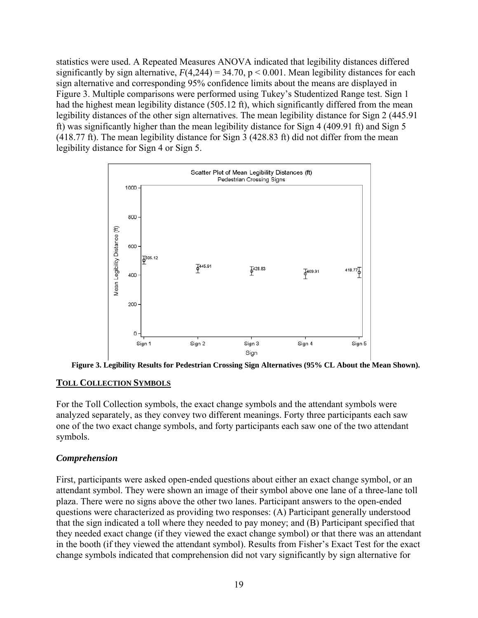statistics were used. A Repeated Measures ANOVA indicated that legibility distances differed significantly by sign alternative,  $F(4,244) = 34.70$ ,  $p < 0.001$ . Mean legibility distances for each sign alternative and corresponding 95% confidence limits about the means are displayed in Figure 3. Multiple comparisons were performed using Tukey's Studentized Range test. Sign 1 had the highest mean legibility distance (505.12 ft), which significantly differed from the mean legibility distances of the other sign alternatives. The mean legibility distance for Sign 2 (445.91 ft) was significantly higher than the mean legibility distance for Sign 4 (409.91 ft) and Sign 5 (418.77 ft). The mean legibility distance for Sign 3 (428.83 ft) did not differ from the mean legibility distance for Sign 4 or Sign 5.



**Figure 3. Legibility Results for Pedestrian Crossing Sign Alternatives (95% CL About the Mean Shown).** 

## **TOLL COLLECTION SYMBOLS**

For the Toll Collection symbols, the exact change symbols and the attendant symbols were analyzed separately, as they convey two different meanings. Forty three participants each saw one of the two exact change symbols, and forty participants each saw one of the two attendant symbols.

## *Comprehension*

First, participants were asked open-ended questions about either an exact change symbol, or an attendant symbol. They were shown an image of their symbol above one lane of a three-lane toll plaza. There were no signs above the other two lanes. Participant answers to the open-ended questions were characterized as providing two responses: (A) Participant generally understood that the sign indicated a toll where they needed to pay money; and (B) Participant specified that they needed exact change (if they viewed the exact change symbol) or that there was an attendant in the booth (if they viewed the attendant symbol). Results from Fisher's Exact Test for the exact change symbols indicated that comprehension did not vary significantly by sign alternative for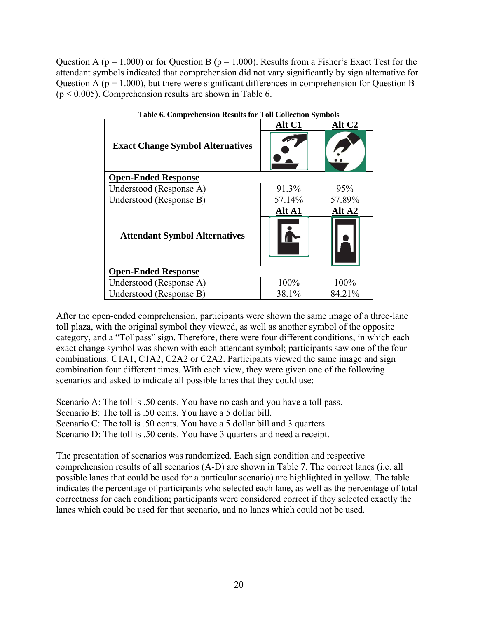Question A ( $p = 1.000$ ) or for Question B ( $p = 1.000$ ). Results from a Fisher's Exact Test for the attendant symbols indicated that comprehension did not vary significantly by sign alternative for Question A ( $p = 1.000$ ), but there were significant differences in comprehension for Question B  $(p < 0.005)$ . Comprehension results are shown in Table 6.

| Table 6. Comprenension Results for Ton Conection Symbols |        |                    |  |  |  |
|----------------------------------------------------------|--------|--------------------|--|--|--|
|                                                          | Alt C1 | Alt C <sub>2</sub> |  |  |  |
| <b>Exact Change Symbol Alternatives</b>                  |        |                    |  |  |  |
| <b>Open-Ended Response</b>                               |        |                    |  |  |  |
| Understood (Response A)                                  | 91.3%  | 95%                |  |  |  |
| Understood (Response B)                                  | 57.14% | 57.89%             |  |  |  |
|                                                          | Alt A1 | Alt A <sub>2</sub> |  |  |  |
| <b>Attendant Symbol Alternatives</b>                     |        |                    |  |  |  |
| <b>Open-Ended Response</b>                               |        |                    |  |  |  |
| Understood (Response A)                                  | 100%   | 100%               |  |  |  |
| Understood (Response B)                                  | 38.1%  | 84.21%             |  |  |  |

| <b>Table 6. Comprehension Results for Toll Collection Symbols</b> |  |  |
|-------------------------------------------------------------------|--|--|
|                                                                   |  |  |

After the open-ended comprehension, participants were shown the same image of a three-lane toll plaza, with the original symbol they viewed, as well as another symbol of the opposite category, and a "Tollpass" sign. Therefore, there were four different conditions, in which each exact change symbol was shown with each attendant symbol; participants saw one of the four combinations: C1A1, C1A2, C2A2 or C2A2. Participants viewed the same image and sign combination four different times. With each view, they were given one of the following scenarios and asked to indicate all possible lanes that they could use:

Scenario A: The toll is .50 cents. You have no cash and you have a toll pass.

Scenario B: The toll is .50 cents. You have a 5 dollar bill.

Scenario C: The toll is .50 cents. You have a 5 dollar bill and 3 quarters.

Scenario D: The toll is .50 cents. You have 3 quarters and need a receipt.

The presentation of scenarios was randomized. Each sign condition and respective comprehension results of all scenarios (A-D) are shown in Table 7. The correct lanes (i.e. all possible lanes that could be used for a particular scenario) are highlighted in yellow. The table indicates the percentage of participants who selected each lane, as well as the percentage of total correctness for each condition; participants were considered correct if they selected exactly the lanes which could be used for that scenario, and no lanes which could not be used.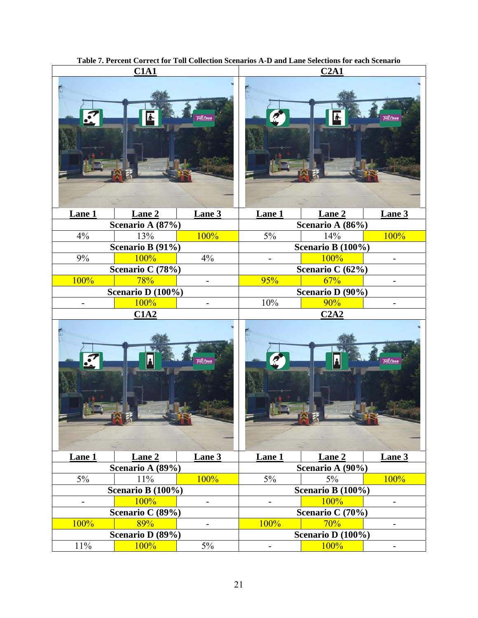|                          | C1A1              |                              | C2A1                     |                      |                          |
|--------------------------|-------------------|------------------------------|--------------------------|----------------------|--------------------------|
|                          |                   | oll Pass                     |                          |                      |                          |
| Lane 1                   | Lane 2            | Lane 3                       | Lane 1                   | Lane 2               | Lane 3                   |
|                          | Scenario A (87%)  |                              |                          | Scenario A (86%)     |                          |
| 4%                       | 13%               | 100%                         | $5\%$                    | 14%                  | 100%                     |
|                          | Scenario B (91%)  |                              |                          | Scenario B (100%)    |                          |
| $9\%$                    | 100%              | 4%                           | $\overline{\phantom{0}}$ | 100%                 | ÷.                       |
|                          | Scenario C (78%)  |                              |                          | Scenario C (62%)     |                          |
| 100%                     | 78%               | -                            | 95%                      | 67%                  |                          |
|                          | Scenario D (100%) |                              |                          | Scenario D (90%)     |                          |
|                          | 100%              |                              | 10%                      | 90%                  |                          |
|                          | C1A2              |                              |                          | C2A2                 |                          |
|                          |                   | oll Pass                     |                          |                      | Toll Pass                |
| Lane 1                   | Lane 2            | Lane 3                       | Lane 1                   | Lane 2               | Lane 3                   |
|                          | Scenario A (89%)  |                              |                          | Scenario A (90%)     |                          |
| $5\%$                    | 11%               | 100%                         | $5\%$                    | 5%                   | 100%                     |
|                          | Scenario B (100%) |                              |                          | Scenario B $(100\%)$ |                          |
| $\overline{\phantom{0}}$ | 100%              | $\blacksquare$               | $\overline{\phantom{0}}$ | 100%                 | $\overline{\phantom{0}}$ |
|                          | Scenario C (89%)  |                              |                          | Scenario C (70%)     |                          |
| 100%                     | 89%               | $\qquad \qquad \blacksquare$ | 100%                     | 70%                  | -                        |
|                          | Scenario D (89%)  |                              |                          | Scenario D (100%)    |                          |
| $11\%$                   | 100%              | 5%                           | $\overline{\phantom{0}}$ | 100%                 | $\overline{\phantom{0}}$ |

**Table 7. Percent Correct for Toll Collection Scenarios A-D and Lane Selections for each Scenario**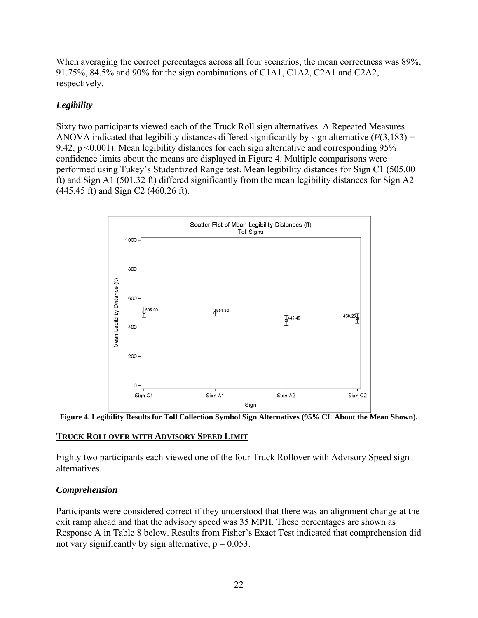When averaging the correct percentages across all four scenarios, the mean correctness was 89%, 91.75%, 84.5% and 90% for the sign combinations of C1A1, C1A2, C2A1 and C2A2, respectively.

## *Legibility*

Sixty two participants viewed each of the Truck Roll sign alternatives. A Repeated Measures ANOVA indicated that legibility distances differed significantly by sign alternative  $(F(3,183) =$ 9.42, p <0.001). Mean legibility distances for each sign alternative and corresponding 95% confidence limits about the means are displayed in Figure 4. Multiple comparisons were performed using Tukey's Studentized Range test. Mean legibility distances for Sign C1 (505.00 ft) and Sign A1 (501.32 ft) differed significantly from the mean legibility distances for Sign A2 (445.45 ft) and Sign C2 (460.26 ft).



**Figure 4. Legibility Results for Toll Collection Symbol Sign Alternatives (95% CL About the Mean Shown).** 

## **TRUCK ROLLOVER WITH ADVISORY SPEED LIMIT**

Eighty two participants each viewed one of the four Truck Rollover with Advisory Speed sign alternatives.

## *Comprehension*

Participants were considered correct if they understood that there was an alignment change at the exit ramp ahead and that the advisory speed was 35 MPH. These percentages are shown as Response A in Table 8 below. Results from Fisher's Exact Test indicated that comprehension did not vary significantly by sign alternative,  $p = 0.053$ .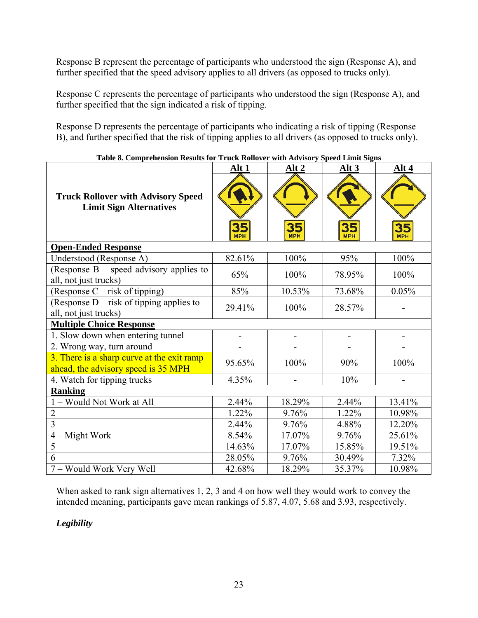Response B represent the percentage of participants who understood the sign (Response A), and further specified that the speed advisory applies to all drivers (as opposed to trucks only).

Response C represents the percentage of participants who understood the sign (Response A), and further specified that the sign indicated a risk of tipping.

Response D represents the percentage of participants who indicating a risk of tipping (Response B), and further specified that the risk of tipping applies to all drivers (as opposed to trucks only).

|                                                                                   | Alt 1            | Alt <sub>2</sub> | Alt <sub>3</sub> | Alt 4            |
|-----------------------------------------------------------------------------------|------------------|------------------|------------------|------------------|
| <b>Truck Rollover with Advisory Speed</b><br><b>Limit Sign Alternatives</b>       | 35<br><b>MPH</b> | 35<br><b>MPH</b> | 35<br><b>MPH</b> | 35<br><b>MPH</b> |
| <b>Open-Ended Response</b>                                                        |                  |                  |                  |                  |
| Understood (Response A)                                                           | 82.61%           | 100%             | 95%              | 100%             |
| (Response $B$ – speed advisory applies to<br>all, not just trucks)                | 65%              | 100%             | 78.95%           | 100%             |
| (Response C – risk of tipping)                                                    | 85%              | 10.53%           | 73.68%           | 0.05%            |
| (Response $D$ – risk of tipping applies to<br>all, not just trucks)               | 29.41%           | 100%             | 28.57%           |                  |
| <b>Multiple Choice Response</b>                                                   |                  |                  |                  |                  |
| 1. Slow down when entering tunnel                                                 |                  |                  |                  |                  |
| 2. Wrong way, turn around                                                         |                  |                  |                  |                  |
| 3. There is a sharp curve at the exit ramp<br>ahead, the advisory speed is 35 MPH | 95.65%           | 100%             | 90%              | 100%             |
| 4. Watch for tipping trucks                                                       | 4.35%            |                  | 10%              |                  |
| <b>Ranking</b>                                                                    |                  |                  |                  |                  |
| 1 - Would Not Work at All                                                         | 2.44%            | 18.29%           | 2.44%            | 13.41%           |
| $\overline{2}$                                                                    | 1.22%            | 9.76%            | 1.22%            | 10.98%           |
| $\overline{3}$                                                                    | 2.44%            | 9.76%            | 4.88%            | 12.20%           |
| $4 - Might Work$                                                                  | 8.54%            | 17.07%           | 9.76%            | 25.61%           |
| $\overline{5}$                                                                    | 14.63%           | 17.07%           | 15.85%           | 19.51%           |
| 6                                                                                 | 28.05%           | 9.76%            | 30.49%           | 7.32%            |
| 7 – Would Work Very Well                                                          | 42.68%           | 18.29%           | 35.37%           | 10.98%           |

**Table 8. Comprehension Results for Truck Rollover with Advisory Speed Limit Signs** 

When asked to rank sign alternatives 1, 2, 3 and 4 on how well they would work to convey the intended meaning, participants gave mean rankings of 5.87, 4.07, 5.68 and 3.93, respectively.

## *Legibility*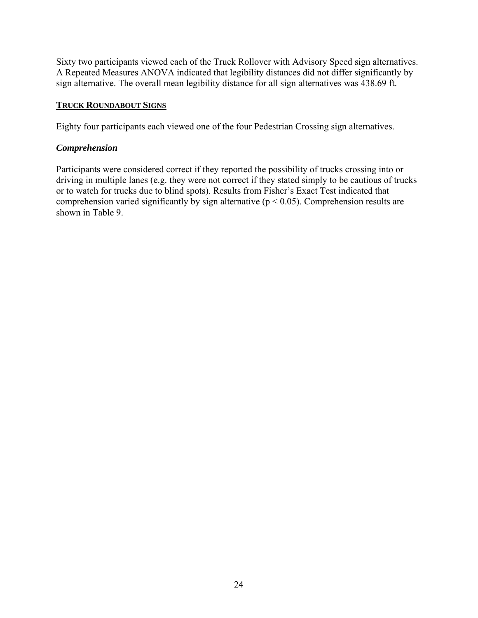Sixty two participants viewed each of the Truck Rollover with Advisory Speed sign alternatives. A Repeated Measures ANOVA indicated that legibility distances did not differ significantly by sign alternative. The overall mean legibility distance for all sign alternatives was 438.69 ft.

#### **TRUCK ROUNDABOUT SIGNS**

Eighty four participants each viewed one of the four Pedestrian Crossing sign alternatives.

#### *Comprehension*

Participants were considered correct if they reported the possibility of trucks crossing into or driving in multiple lanes (e.g. they were not correct if they stated simply to be cautious of trucks or to watch for trucks due to blind spots). Results from Fisher's Exact Test indicated that comprehension varied significantly by sign alternative ( $p < 0.05$ ). Comprehension results are shown in Table 9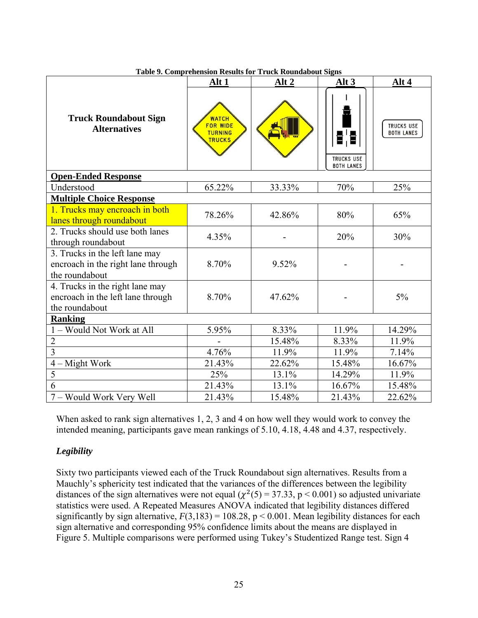|                                                                                        | Alt 1                                                              | Table 2. Complemention results for Truck Koundabout Signs<br>Alt <sub>2</sub> | Alt 3                                         | Alt 4                                  |
|----------------------------------------------------------------------------------------|--------------------------------------------------------------------|-------------------------------------------------------------------------------|-----------------------------------------------|----------------------------------------|
| <b>Truck Roundabout Sign</b><br><b>Alternatives</b>                                    | <b>WATCH</b><br><b>FOR WIDE</b><br><b>TURNING</b><br><b>TRUCKS</b> |                                                                               | 담 물<br><b>TRUCKS USE</b><br><b>BOTH LANES</b> | <b>TRUCKS USE</b><br><b>BOTH LANES</b> |
| <b>Open-Ended Response</b>                                                             |                                                                    |                                                                               |                                               |                                        |
| Understood                                                                             | 65.22%                                                             | 33.33%                                                                        | 70%                                           | 25%                                    |
| <b>Multiple Choice Response</b>                                                        |                                                                    |                                                                               |                                               |                                        |
| 1. Trucks may encroach in both<br>lanes through roundabout                             | 78.26%                                                             | 42.86%                                                                        | 80%                                           | 65%                                    |
| 2. Trucks should use both lanes<br>through roundabout                                  | 4.35%                                                              |                                                                               | 20%                                           | 30%                                    |
| 3. Trucks in the left lane may<br>encroach in the right lane through<br>the roundabout | 8.70%                                                              | 9.52%                                                                         |                                               |                                        |
| 4. Trucks in the right lane may<br>encroach in the left lane through<br>the roundabout | 8.70%                                                              | 47.62%                                                                        |                                               | 5%                                     |
| <b>Ranking</b>                                                                         |                                                                    |                                                                               |                                               |                                        |
| - Would Not Work at All                                                                | 5.95%                                                              | 8.33%                                                                         | 11.9%                                         | 14.29%                                 |
| $\overline{2}$                                                                         |                                                                    | 15.48%                                                                        | 8.33%                                         | 11.9%                                  |
| $\overline{3}$                                                                         | 4.76%                                                              | 11.9%                                                                         | 11.9%                                         | 7.14%                                  |
| $4 - Might Work$                                                                       | 21.43%                                                             | 22.62%                                                                        | 15.48%                                        | 16.67%                                 |
| $\overline{5}$                                                                         | 25%                                                                | 13.1%                                                                         | 14.29%                                        | 11.9%                                  |
| 6                                                                                      | 21.43%                                                             | 13.1%                                                                         | 16.67%                                        | 15.48%                                 |
| 7 - Would Work Very Well                                                               | 21.43%                                                             | 15.48%                                                                        | 21.43%                                        | 22.62%                                 |

**Table 9. Comprehension Results for Truck Roundabout Signs** 

When asked to rank sign alternatives 1, 2, 3 and 4 on how well they would work to convey the intended meaning, participants gave mean rankings of 5.10, 4.18, 4.48 and 4.37, respectively.

## *Legibility*

Sixty two participants viewed each of the Truck Roundabout sign alternatives. Results from a Mauchly's sphericity test indicated that the variances of the differences between the legibility distances of the sign alternatives were not equal ( $\chi^2(5) = 37.33$ , p < 0.001) so adjusted univariate statistics were used. A Repeated Measures ANOVA indicated that legibility distances differed significantly by sign alternative,  $F(3,183) = 108.28$ ,  $p < 0.001$ . Mean legibility distances for each sign alternative and corresponding 95% confidence limits about the means are displayed in Figure 5. Multiple comparisons were performed using Tukey's Studentized Range test. Sign 4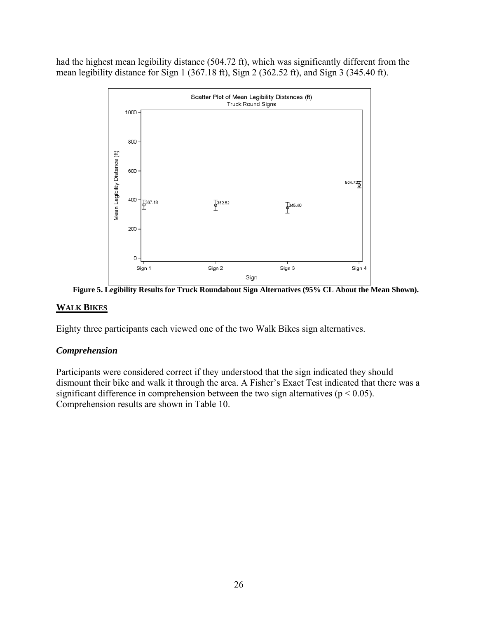had the highest mean legibility distance (504.72 ft), which was significantly different from the mean legibility distance for Sign 1 (367.18 ft), Sign 2 (362.52 ft), and Sign 3 (345.40 ft).



**Figure 5. Legibility Results for Truck Roundabout Sign Alternatives (95% CL About the Mean Shown).** 

## **WALK BIKES**

Eighty three participants each viewed one of the two Walk Bikes sign alternatives.

## *Comprehension*

Participants were considered correct if they understood that the sign indicated they should dismount their bike and walk it through the area. A Fisher's Exact Test indicated that there was a significant difference in comprehension between the two sign alternatives ( $p < 0.05$ ). Comprehension results are shown in Table 10.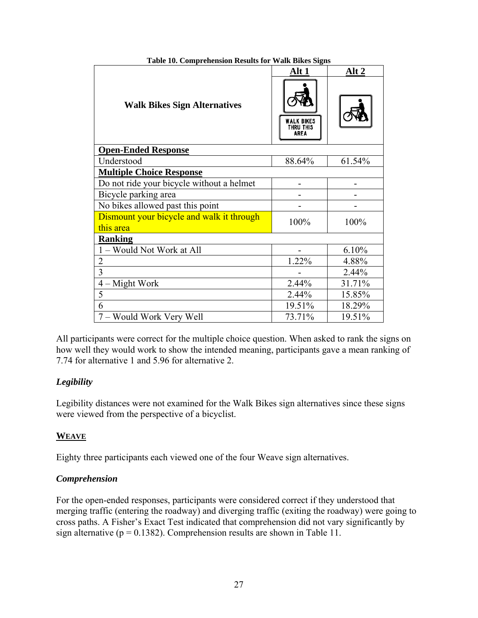|                                                        | Alt 1                                        | Alt <sub>2</sub> |
|--------------------------------------------------------|----------------------------------------------|------------------|
| <b>Walk Bikes Sign Alternatives</b>                    | <b>ALK BIKES</b><br><b>THRU THIS</b><br>AREA |                  |
| <b>Open-Ended Response</b>                             |                                              |                  |
| Understood                                             | 88.64%                                       | 61.54%           |
| <b>Multiple Choice Response</b>                        |                                              |                  |
| Do not ride your bicycle without a helmet              |                                              |                  |
| Bicycle parking area                                   |                                              |                  |
| No bikes allowed past this point                       |                                              |                  |
| Dismount your bicycle and walk it through<br>this area | 100%                                         | 100%             |
| <b>Ranking</b>                                         |                                              |                  |
| 1 – Would Not Work at All                              |                                              | 6.10%            |
| $\overline{2}$                                         | 1.22%                                        | 4.88%            |
| 3                                                      |                                              | 2.44%            |
| $4 -$ Might Work                                       | 2.44%                                        | 31.71%           |
| 5                                                      | 2.44%                                        | 15.85%           |
| 6                                                      | 19.51%                                       | 18.29%           |
| 7 – Would Work Very Well                               | 73.71%                                       | 19.51%           |

**Table 10. Comprehension Results for Walk Bikes Signs** 

All participants were correct for the multiple choice question. When asked to rank the signs on how well they would work to show the intended meaning, participants gave a mean ranking of 7.74 for alternative 1 and 5.96 for alternative 2.

## *Legibility*

Legibility distances were not examined for the Walk Bikes sign alternatives since these signs were viewed from the perspective of a bicyclist.

## **WEAVE**

Eighty three participants each viewed one of the four Weave sign alternatives.

## *Comprehension*

For the open-ended responses, participants were considered correct if they understood that merging traffic (entering the roadway) and diverging traffic (exiting the roadway) were going to cross paths. A Fisher's Exact Test indicated that comprehension did not vary significantly by sign alternative ( $p = 0.1382$ ). Comprehension results are shown in Table 11.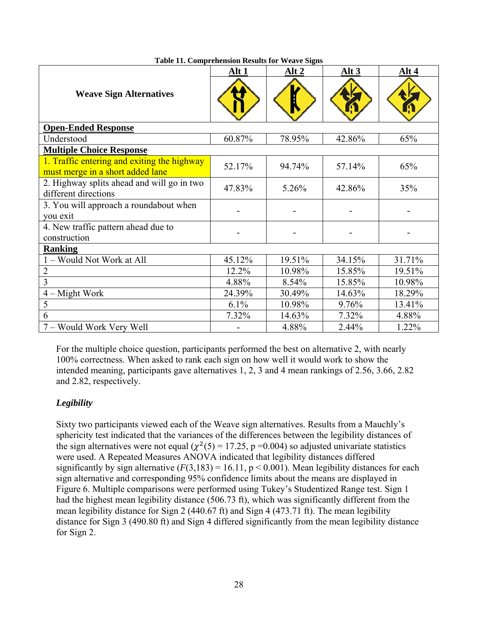|                                                                                 | Alt 1  | Alt 2  | Alt <sub>3</sub> | Alt 4  |
|---------------------------------------------------------------------------------|--------|--------|------------------|--------|
| <b>Weave Sign Alternatives</b>                                                  |        |        |                  |        |
| <b>Open-Ended Response</b>                                                      |        |        |                  |        |
| Understood                                                                      | 60.87% | 78.95% | 42.86%           | 65%    |
| <b>Multiple Choice Response</b>                                                 |        |        |                  |        |
| 1. Traffic entering and exiting the highway<br>must merge in a short added lane | 52.17% | 94.74% | 57.14%           | 65%    |
| 2. Highway splits ahead and will go in two<br>different directions              | 47.83% | 5.26%  | 42.86%           | 35%    |
| 3. You will approach a roundabout when<br>you exit                              |        |        |                  |        |
| 4. New traffic pattern ahead due to<br>construction                             |        |        |                  |        |
| <b>Ranking</b>                                                                  |        |        |                  |        |
| 1 - Would Not Work at All                                                       | 45.12% | 19.51% | 34.15%           | 31.71% |
| $\overline{2}$                                                                  | 12.2%  | 10.98% | 15.85%           | 19.51% |
| $\overline{3}$                                                                  | 4.88%  | 8.54%  | 15.85%           | 10.98% |
| $4 -$ Might Work                                                                | 24.39% | 30.49% | 14.63%           | 18.29% |
| 5                                                                               | 6.1%   | 10.98% | 9.76%            | 13.41% |
| 6                                                                               | 7.32%  | 14.63% | $7.32\%$         | 4.88%  |
| 7 – Would Work Very Well                                                        |        | 4.88%  | 2.44%            | 1.22%  |

**Table 11. Comprehension Results for Weave Signs** 

For the multiple choice question, participants performed the best on alternative 2, with nearly 100% correctness. When asked to rank each sign on how well it would work to show the intended meaning, participants gave alternatives 1, 2, 3 and 4 mean rankings of 2.56, 3.66, 2.82 and 2.82, respectively.

## *Legibility*

Sixty two participants viewed each of the Weave sign alternatives. Results from a Mauchly's sphericity test indicated that the variances of the differences between the legibility distances of the sign alternatives were not equal ( $\chi^2(5) = 17.25$ , p =0.004) so adjusted univariate statistics were used. A Repeated Measures ANOVA indicated that legibility distances differed significantly by sign alternative  $(F(3,183) = 16.11, p < 0.001)$ . Mean legibility distances for each sign alternative and corresponding 95% confidence limits about the means are displayed in Figure 6. Multiple comparisons were performed using Tukey's Studentized Range test. Sign 1 had the highest mean legibility distance (506.73 ft), which was significantly different from the mean legibility distance for Sign 2 (440.67 ft) and Sign 4 (473.71 ft). The mean legibility distance for Sign 3 (490.80 ft) and Sign 4 differed significantly from the mean legibility distance for Sign 2.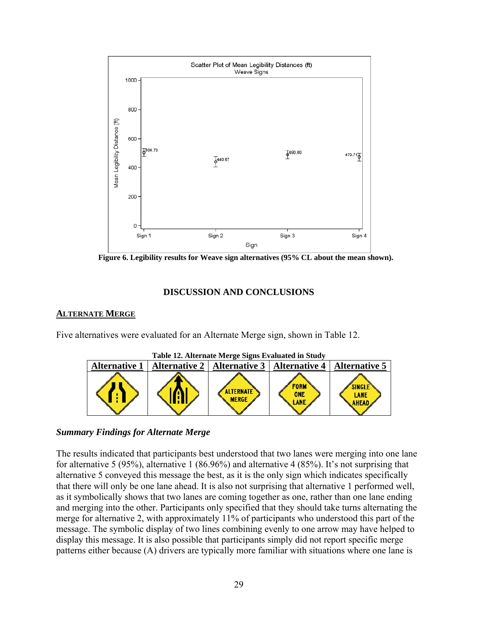

Figure 6. Legibility results for Weave sign alternatives (95% CL about the mean shown).

#### **DISCUSSION AND CONCLUSIONS**

#### **ALTERNATE MERGE**

Five alternatives were evaluated for an Alternate Merge sign, shown in Table 12.



#### *Summary Findings for Alternate Merge*

The results indicated that participants best understood that two lanes were merging into one lane for alternative 5 (95%), alternative 1 (86.96%) and alternative 4 (85%). It's not surprising that alternative 5 conveyed this message the best, as it is the only sign which indicates specifically that there will only be one lane ahead. It is also not surprising that alternative 1 performed well, as it symbolically shows that two lanes are coming together as one, rather than one lane ending and merging into the other. Participants only specified that they should take turns alternating the merge for alternative 2, with approximately 11% of participants who understood this part of the message. The symbolic display of two lines combining evenly to one arrow may have helped to display this message. It is also possible that participants simply did not report specific merge patterns either because (A) drivers are typically more familiar with situations where one lane is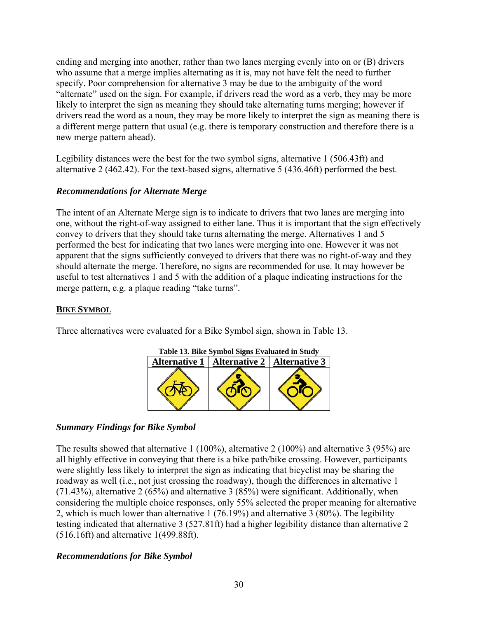ending and merging into another, rather than two lanes merging evenly into on or (B) drivers who assume that a merge implies alternating as it is, may not have felt the need to further specify. Poor comprehension for alternative 3 may be due to the ambiguity of the word "alternate" used on the sign. For example, if drivers read the word as a verb, they may be more likely to interpret the sign as meaning they should take alternating turns merging; however if drivers read the word as a noun, they may be more likely to interpret the sign as meaning there is a different merge pattern that usual (e.g. there is temporary construction and therefore there is a new merge pattern ahead).

Legibility distances were the best for the two symbol signs, alternative 1 (506.43ft) and alternative 2 (462.42). For the text-based signs, alternative 5 (436.46ft) performed the best.

## *Recommendations for Alternate Merge*

The intent of an Alternate Merge sign is to indicate to drivers that two lanes are merging into one, without the right-of-way assigned to either lane. Thus it is important that the sign effectively convey to drivers that they should take turns alternating the merge. Alternatives 1 and 5 performed the best for indicating that two lanes were merging into one. However it was not apparent that the signs sufficiently conveyed to drivers that there was no right-of-way and they should alternate the merge. Therefore, no signs are recommended for use. It may however be useful to test alternatives 1 and 5 with the addition of a plaque indicating instructions for the merge pattern, e.g. a plaque reading "take turns".

## **BIKE SYMBOL**

Three alternatives were evaluated for a Bike Symbol sign, shown in Table 13.



## *Summary Findings for Bike Symbol*

The results showed that alternative 1 (100%), alternative 2 (100%) and alternative 3 (95%) are all highly effective in conveying that there is a bike path/bike crossing. However, participants were slightly less likely to interpret the sign as indicating that bicyclist may be sharing the roadway as well (i.e., not just crossing the roadway), though the differences in alternative 1 (71.43%), alternative 2 (65%) and alternative 3 (85%) were significant. Additionally, when considering the multiple choice responses, only 55% selected the proper meaning for alternative 2, which is much lower than alternative 1 (76.19%) and alternative 3 (80%). The legibility testing indicated that alternative 3 (527.81ft) had a higher legibility distance than alternative 2 (516.16ft) and alternative 1(499.88ft).

## *Recommendations for Bike Symbol*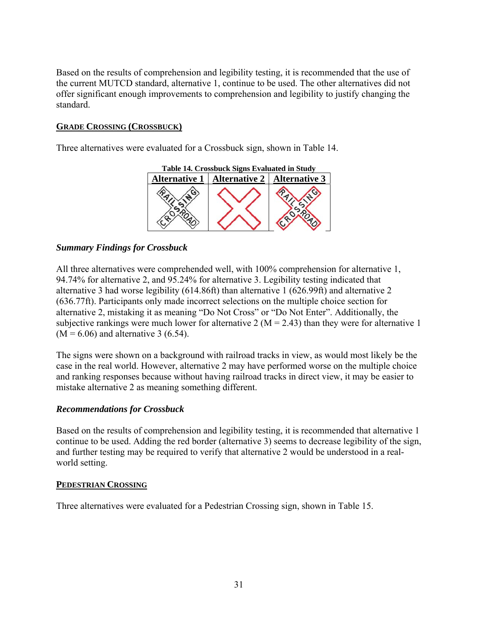Based on the results of comprehension and legibility testing, it is recommended that the use of the current MUTCD standard, alternative 1, continue to be used. The other alternatives did not offer significant enough improvements to comprehension and legibility to justify changing the standard.

## **GRADE CROSSING (CROSSBUCK)**

Three alternatives were evaluated for a Crossbuck sign, shown in Table 14.



## *Summary Findings for Crossbuck*

All three alternatives were comprehended well, with 100% comprehension for alternative 1, 94.74% for alternative 2, and 95.24% for alternative 3. Legibility testing indicated that alternative 3 had worse legibility (614.86ft) than alternative 1 (626.99ft) and alternative 2 (636.77ft). Participants only made incorrect selections on the multiple choice section for alternative 2, mistaking it as meaning "Do Not Cross" or "Do Not Enter". Additionally, the subjective rankings were much lower for alternative 2 ( $M = 2.43$ ) than they were for alternative 1  $(M = 6.06)$  and alternative 3 (6.54).

The signs were shown on a background with railroad tracks in view, as would most likely be the case in the real world. However, alternative 2 may have performed worse on the multiple choice and ranking responses because without having railroad tracks in direct view, it may be easier to mistake alternative 2 as meaning something different.

## *Recommendations for Crossbuck*

Based on the results of comprehension and legibility testing, it is recommended that alternative 1 continue to be used. Adding the red border (alternative 3) seems to decrease legibility of the sign, and further testing may be required to verify that alternative 2 would be understood in a realworld setting.

## **PEDESTRIAN CROSSING**

Three alternatives were evaluated for a Pedestrian Crossing sign, shown in Table 15.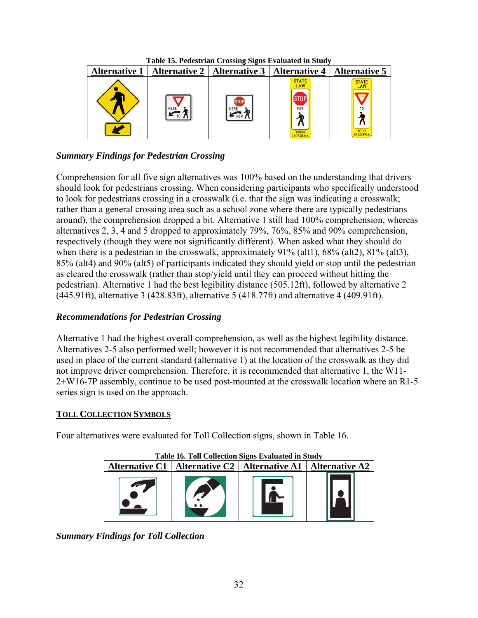| Table 15. Pedestrian Crossing Signs Evaluated in Study |                                                                               |             |                                             |                                                                          |  |  |  |  |
|--------------------------------------------------------|-------------------------------------------------------------------------------|-------------|---------------------------------------------|--------------------------------------------------------------------------|--|--|--|--|
|                                                        | Alternative 1   Alternative 2   Alternative 3   Alternative 4   Alternative 5 |             |                                             |                                                                          |  |  |  |  |
|                                                        | <b>HERE</b>                                                                   | <b>HERE</b> | <b>STATE</b><br>LAW<br>FOR<br><b>NITHII</b> | <b>STATE</b><br>LAW<br><b>YIELD</b><br><b>WITHIN</b><br><b>CROSSWALK</b> |  |  |  |  |

## *Summary Findings for Pedestrian Crossing*

Comprehension for all five sign alternatives was 100% based on the understanding that drivers should look for pedestrians crossing. When considering participants who specifically understood to look for pedestrians crossing in a crosswalk (i.e. that the sign was indicating a crosswalk; rather than a general crossing area such as a school zone where there are typically pedestrians around), the comprehension dropped a bit. Alternative 1 still had 100% comprehension, whereas alternatives 2, 3, 4 and 5 dropped to approximately 79%, 76%, 85% and 90% comprehension, respectively (though they were not significantly different). When asked what they should do when there is a pedestrian in the crosswalk, approximately 91% (alt1), 68% (alt2), 81% (alt3), 85% (alt4) and 90% (alt5) of participants indicated they should yield or stop until the pedestrian as cleared the crosswalk (rather than stop/yield until they can proceed without hitting the pedestrian). Alternative 1 had the best legibility distance (505.12ft), followed by alternative 2 (445.91ft), alternative 3 (428.83ft), alternative 5 (418.77ft) and alternative 4 (409.91ft).

## *Recommendations for Pedestrian Crossing*

Alternative 1 had the highest overall comprehension, as well as the highest legibility distance. Alternatives 2-5 also performed well; however it is not recommended that alternatives 2-5 be used in place of the current standard (alternative 1) at the location of the crosswalk as they did not improve driver comprehension. Therefore, it is recommended that alternative 1, the W11- 2+W16-7P assembly, continue to be used post-mounted at the crosswalk location where an R1-5 series sign is used on the approach.

## **TOLL COLLECTION SYMBOLS**

Four alternatives were evaluated for Toll Collection signs, shown in Table 16.

| <b>Table 16. Toll Collection Signs Evaluated in Study</b> |                                                                   |  |  |  |  |  |  |  |
|-----------------------------------------------------------|-------------------------------------------------------------------|--|--|--|--|--|--|--|
|                                                           | Alternative C1   Alternative C2   Alternative A1   Alternative A2 |  |  |  |  |  |  |  |
|                                                           |                                                                   |  |  |  |  |  |  |  |

*Summary Findings for Toll Collection*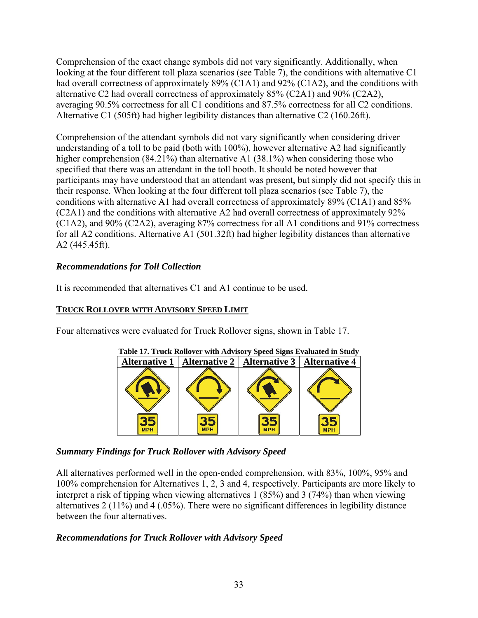Comprehension of the exact change symbols did not vary significantly. Additionally, when looking at the four different toll plaza scenarios (see Table 7), the conditions with alternative C1 had overall correctness of approximately 89% (C1A1) and 92% (C1A2), and the conditions with alternative C2 had overall correctness of approximately 85% (C2A1) and 90% (C2A2), averaging 90.5% correctness for all C1 conditions and 87.5% correctness for all C2 conditions. Alternative C1 (505ft) had higher legibility distances than alternative C2 (160.26ft).

Comprehension of the attendant symbols did not vary significantly when considering driver understanding of a toll to be paid (both with 100%), however alternative A2 had significantly higher comprehension (84.21%) than alternative A1 (38.1%) when considering those who specified that there was an attendant in the toll booth. It should be noted however that participants may have understood that an attendant was present, but simply did not specify this in their response. When looking at the four different toll plaza scenarios (see Table 7), the conditions with alternative A1 had overall correctness of approximately 89% (C1A1) and 85% (C2A1) and the conditions with alternative A2 had overall correctness of approximately 92% (C1A2), and 90% (C2A2), averaging 87% correctness for all A1 conditions and 91% correctness for all A2 conditions. Alternative A1 (501.32ft) had higher legibility distances than alternative A2 (445.45ft).

## *Recommendations for Toll Collection*

It is recommended that alternatives C1 and A1 continue to be used.

## **TRUCK ROLLOVER WITH ADVISORY SPEED LIMIT**

Four alternatives were evaluated for Truck Rollover signs, shown in Table 17.



## *Summary Findings for Truck Rollover with Advisory Speed*

All alternatives performed well in the open-ended comprehension, with 83%, 100%, 95% and 100% comprehension for Alternatives 1, 2, 3 and 4, respectively. Participants are more likely to interpret a risk of tipping when viewing alternatives 1 (85%) and 3 (74%) than when viewing alternatives 2 (11%) and 4 (.05%). There were no significant differences in legibility distance between the four alternatives.

## *Recommendations for Truck Rollover with Advisory Speed*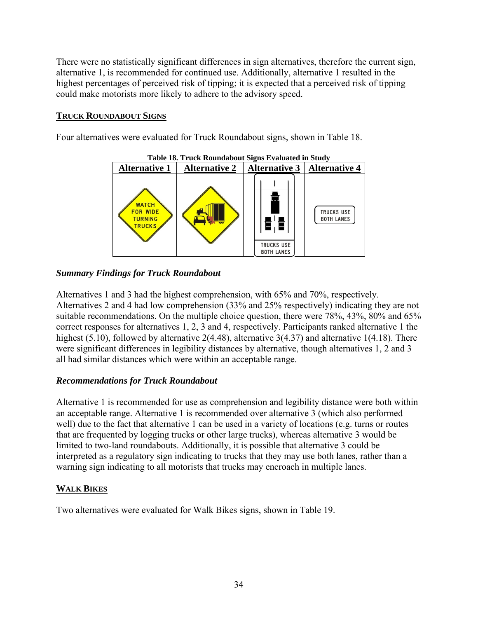There were no statistically significant differences in sign alternatives, therefore the current sign, alternative 1, is recommended for continued use. Additionally, alternative 1 resulted in the highest percentages of perceived risk of tipping; it is expected that a perceived risk of tipping could make motorists more likely to adhere to the advisory speed.

## **TRUCK ROUNDABOUT SIGNS**

Four alternatives were evaluated for Truck Roundabout signs, shown in Table 18.



**Table 18. Truck Roundabout Signs Evaluated in Study** 

## *Summary Findings for Truck Roundabout*

Alternatives 1 and 3 had the highest comprehension, with 65% and 70%, respectively. Alternatives 2 and 4 had low comprehension (33% and 25% respectively) indicating they are not suitable recommendations. On the multiple choice question, there were 78%, 43%, 80% and 65% correct responses for alternatives 1, 2, 3 and 4, respectively. Participants ranked alternative 1 the highest (5.10), followed by alternative 2(4.48), alternative 3(4.37) and alternative 1(4.18). There were significant differences in legibility distances by alternative, though alternatives 1, 2 and 3 all had similar distances which were within an acceptable range.

## *Recommendations for Truck Roundabout*

Alternative 1 is recommended for use as comprehension and legibility distance were both within an acceptable range. Alternative 1 is recommended over alternative 3 (which also performed well) due to the fact that alternative 1 can be used in a variety of locations (e.g. turns or routes that are frequented by logging trucks or other large trucks), whereas alternative 3 would be limited to two-land roundabouts. Additionally, it is possible that alternative 3 could be interpreted as a regulatory sign indicating to trucks that they may use both lanes, rather than a warning sign indicating to all motorists that trucks may encroach in multiple lanes.

## **WALK BIKES**

Two alternatives were evaluated for Walk Bikes signs, shown in Table 19.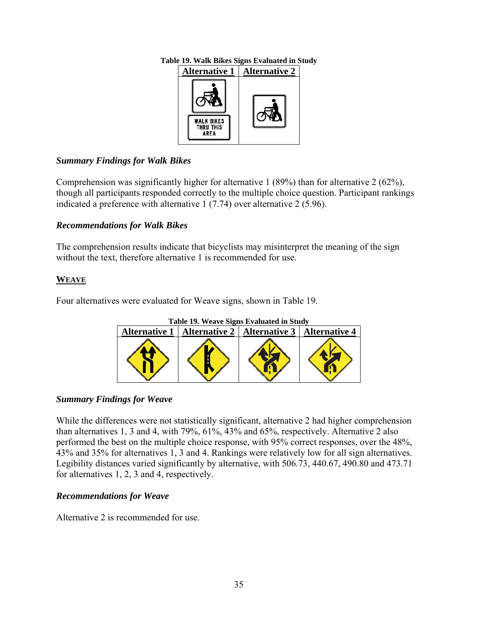

## **Table 19. Walk Bikes Signs Evaluated in Study**

## *Summary Findings for Walk Bikes*

Comprehension was significantly higher for alternative 1 (89%) than for alternative 2 (62%), though all participants responded correctly to the multiple choice question. Participant rankings indicated a preference with alternative 1 (7.74) over alternative 2 (5.96).

## *Recommendations for Walk Bikes*

The comprehension results indicate that bicyclists may misinterpret the meaning of the sign without the text, therefore alternative 1 is recommended for use.

## **WEAVE**

Four alternatives were evaluated for Weave signs, shown in Table 19.



## *Summary Findings for Weave*

While the differences were not statistically significant, alternative 2 had higher comprehension than alternatives 1, 3 and 4, with 79%, 61%, 43% and 65%, respectively. Alternative 2 also performed the best on the multiple choice response, with 95% correct responses, over the 48%, 43% and 35% for alternatives 1, 3 and 4. Rankings were relatively low for all sign alternatives. Legibility distances varied significantly by alternative, with 506.73, 440.67, 490.80 and 473.71 for alternatives 1, 2, 3 and 4, respectively.

## *Recommendations for Weave*

Alternative 2 is recommended for use.